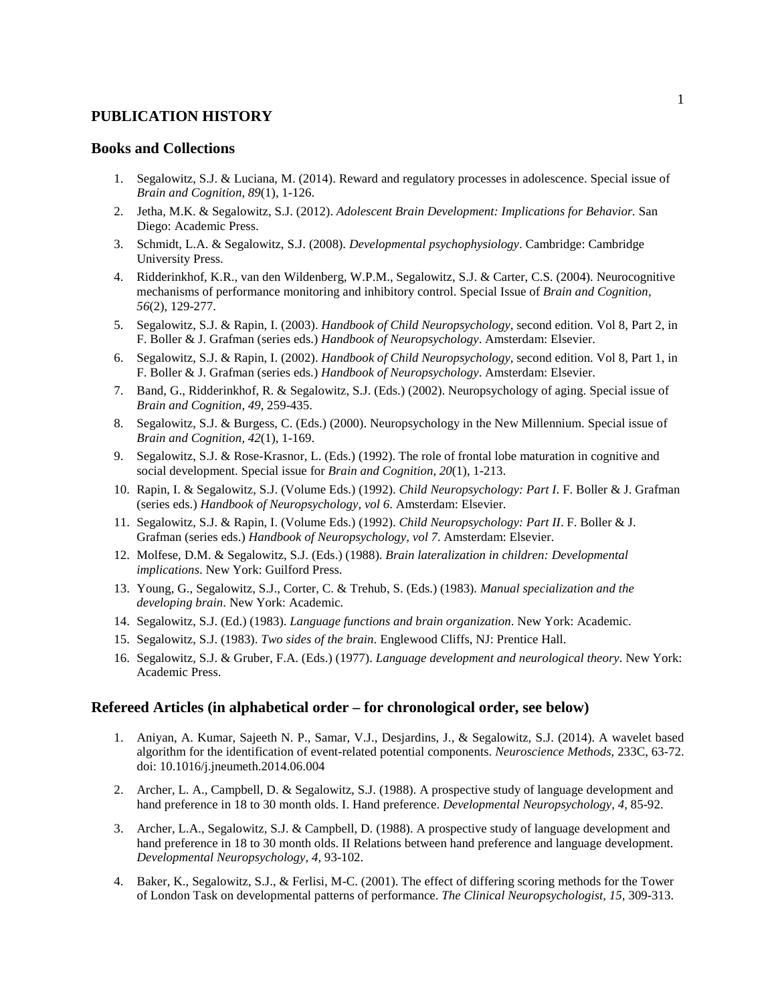## **PUBLICATION HISTORY**

## **Books and Collections**

- 1. Segalowitz, S.J. & Luciana, M. (2014). Reward and regulatory processes in adolescence. Special issue of *Brain and Cognition*, *89*(1)*,* 1-126.
- 2. Jetha, M.K. & Segalowitz, S.J. (2012). *Adolescent Brain Development: Implications for Behavior.* San Diego: Academic Press.
- 3. Schmidt, L.A. & Segalowitz, S.J. (2008). *Developmental psychophysiology*. Cambridge: Cambridge University Press.
- 4. Ridderinkhof, K.R., van den Wildenberg, W.P.M., Segalowitz, S.J. & Carter, C.S. (2004). Neurocognitive mechanisms of performance monitoring and inhibitory control. Special Issue of *Brain and Cognition, 56*(2), 129-277.
- 5. Segalowitz, S.J. & Rapin, I. (2003). *Handbook of Child Neuropsychology*, second edition. Vol 8, Part 2, in F. Boller & J. Grafman (series eds.) *Handbook of Neuropsychology*. Amsterdam: Elsevier.
- 6. Segalowitz, S.J. & Rapin, I. (2002). *Handbook of Child Neuropsychology,* second edition. Vol 8, Part 1, in F. Boller & J. Grafman (series eds.) *Handbook of Neuropsychology*. Amsterdam: Elsevier.
- 7. Band, G., Ridderinkhof, R. & Segalowitz, S.J. (Eds.) (2002). Neuropsychology of aging. Special issue of *Brain and Cognition, 49*, 259-435.
- 8. Segalowitz, S.J. & Burgess, C. (Eds.) (2000). Neuropsychology in the New Millennium. Special issue of *Brain and Cognition, 42*(1), 1-169.
- 9. Segalowitz, S.J. & Rose-Krasnor, L. (Eds.) (1992). The role of frontal lobe maturation in cognitive and social development. Special issue for *Brain and Cognition*, *20*(1), 1-213.
- 10. Rapin, I. & Segalowitz, S.J. (Volume Eds.) (1992). *Child Neuropsychology: Part I*. F. Boller & J. Grafman (series eds.) *Handbook of Neuropsychology, vol 6*. Amsterdam: Elsevier.
- 11. Segalowitz, S.J. & Rapin, I. (Volume Eds.) (1992). *Child Neuropsychology: Part II*. F. Boller & J. Grafman (series eds.) *Handbook of Neuropsychology, vol 7*. Amsterdam: Elsevier.
- 12. Molfese, D.M. & Segalowitz, S.J. (Eds.) (1988). *Brain lateralization in children: Developmental implications*. New York: Guilford Press.
- 13. Young, G., Segalowitz, S.J., Corter, C. & Trehub, S. (Eds.) (1983). *Manual specialization and the developing brain*. New York: Academic.
- 14. Segalowitz, S.J. (Ed.) (1983). *Language functions and brain organization*. New York: Academic.
- 15. Segalowitz, S.J. (1983). *Two sides of the brain*. Englewood Cliffs, NJ: Prentice Hall.
- 16. Segalowitz, S.J. & Gruber, F.A. (Eds.) (1977). *Language development and neurological theory*. New York: Academic Press.

## **Refereed Articles (in alphabetical order – for chronological order, see below)**

- 1. Aniyan, A. Kumar, Sajeeth N. P., Samar, V.J., Desjardins, J., & Segalowitz, S.J. (2014). A wavelet based algorithm for the identification of event-related potential components. *Neuroscience Methods*, 233C, 63-72. doi: 10.1016/j.jneumeth.2014.06.004
- 2. Archer, L. A., Campbell, D. & Segalowitz, S.J. (1988). A prospective study of language development and hand preference in 18 to 30 month olds. I. Hand preference. *Developmental Neuropsychology, 4,* 85-92.
- 3. Archer, L.A., Segalowitz, S.J. & Campbell, D. (1988). A prospective study of language development and hand preference in 18 to 30 month olds. II Relations between hand preference and language development. *Developmental Neuropsychology, 4,* 93-102.
- 4. Baker, K., Segalowitz, S.J., & Ferlisi, M-C. (2001). The effect of differing scoring methods for the Tower of London Task on developmental patterns of performance. *The Clinical Neuropsychologist, 15,* 309-313.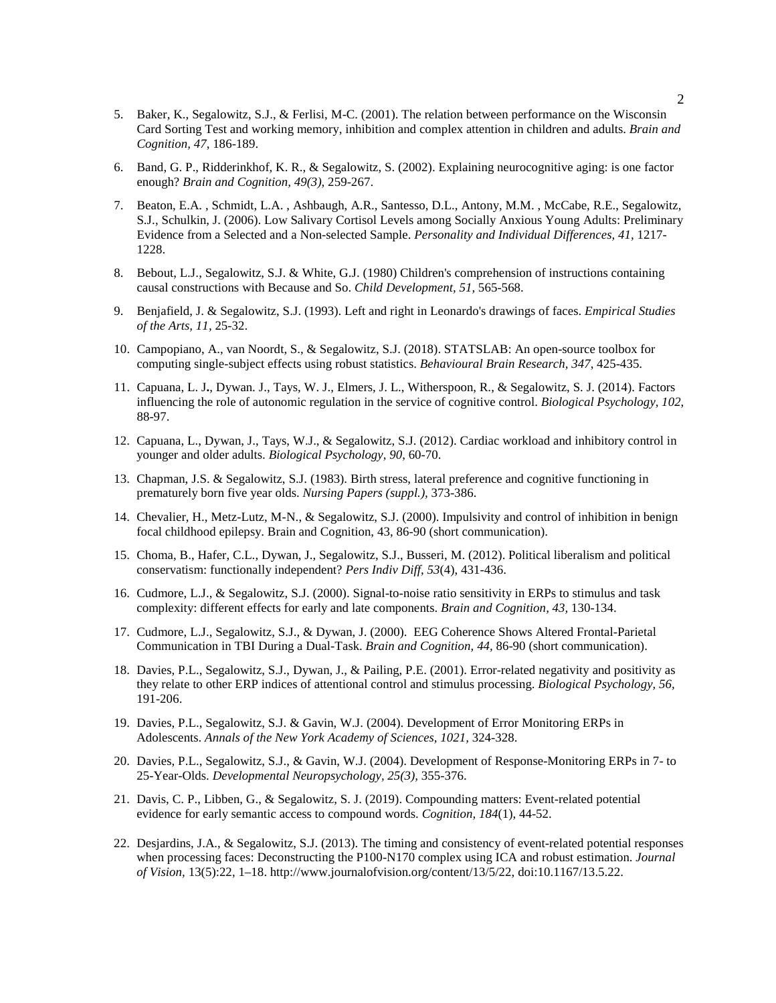- 5. Baker, K., Segalowitz, S.J., & Ferlisi, M-C. (2001). The relation between performance on the Wisconsin Card Sorting Test and working memory, inhibition and complex attention in children and adults. *Brain and Cognition, 47,* 186-189.
- 6. Band, G. P., Ridderinkhof, K. R., & Segalowitz, S. (2002). Explaining neurocognitive aging: is one factor enough? *Brain and Cognition, 49(3),* 259-267.
- 7. Beaton, E.A. , Schmidt, L.A. , Ashbaugh, A.R., Santesso, D.L., Antony, M.M. , McCabe, R.E., Segalowitz, S.J., Schulkin, J. (2006). Low Salivary Cortisol Levels among Socially Anxious Young Adults: Preliminary Evidence from a Selected and a Non-selected Sample. *Personality and Individual Differences, 41,* 1217- 1228.
- 8. Bebout, L.J., Segalowitz, S.J. & White, G.J. (1980) Children's comprehension of instructions containing causal constructions with Because and So. *Child Development, 51,* 565-568.
- 9. Benjafield, J. & Segalowitz, S.J. (1993). Left and right in Leonardo's drawings of faces. *Empirical Studies of the Arts, 11,* 25-32.
- 10. Campopiano, A., van Noordt, S., & Segalowitz, S.J. (2018). STATSLAB: An open-source toolbox for computing single-subject effects using robust statistics. *Behavioural Brain Research, 347*, 425-435.
- 11. Capuana, L. J**.**, Dywan. J., Tays, W. J., Elmers, J. L., Witherspoon, R., & Segalowitz, S. J. (2014). Factors influencing the role of autonomic regulation in the service of cognitive control. *Biological Psychology, 102*, 88-97.
- 12. Capuana, L., Dywan, J., Tays, W.J., & Segalowitz, S.J. (2012). Cardiac workload and inhibitory control in younger and older adults. *Biological Psychology*, *90*, 60-70.
- 13. Chapman, J.S. & Segalowitz, S.J. (1983). Birth stress, lateral preference and cognitive functioning in prematurely born five year olds. *Nursing Papers (suppl.),* 373-386.
- 14. Chevalier, H., Metz-Lutz, M-N., & Segalowitz, S.J. (2000). Impulsivity and control of inhibition in benign focal childhood epilepsy. Brain and Cognition, 43, 86-90 (short communication).
- 15. Choma, B., Hafer, C.L., Dywan, J., Segalowitz, S.J., Busseri, M. (2012). Political liberalism and political conservatism: functionally independent? *Pers Indiv Diff*, *53*(4), 431-436.
- 16. Cudmore, L.J., & Segalowitz, S.J. (2000). Signal-to-noise ratio sensitivity in ERPs to stimulus and task complexity: different effects for early and late components. *Brain and Cognition, 43,* 130-134.
- 17. Cudmore, L.J., Segalowitz, S.J., & Dywan, J. (2000). EEG Coherence Shows Altered Frontal-Parietal Communication in TBI During a Dual-Task. *Brain and Cognition, 44,* 86-90 (short communication).
- 18. Davies, P.L., Segalowitz, S.J., Dywan, J., & Pailing, P.E. (2001). Error-related negativity and positivity as they relate to other ERP indices of attentional control and stimulus processing. *Biological Psychology, 56,* 191-206.
- 19. Davies, P.L., Segalowitz, S.J. & Gavin, W.J. (2004). Development of Error Monitoring ERPs in Adolescents. *Annals of the New York Academy of Sciences, 1021,* 324-328.
- 20. Davies, P.L., Segalowitz, S.J., & Gavin, W.J. (2004). Development of Response-Monitoring ERPs in 7- to 25-Year-Olds. *Developmental Neuropsychology, 25(3),* 355-376.
- 21. Davis, C. P., Libben, G., & Segalowitz, S. J. (2019). Compounding matters: Event-related potential evidence for early semantic access to compound words. *Cognition, 184*(1), 44-52.
- 22. Desjardins, J.A., & Segalowitz, S.J. (2013). The timing and consistency of event-related potential responses when processing faces: Deconstructing the P100-N170 complex using ICA and robust estimation. *Journal of Vision,* 13(5):22, 1–18. http://www.journalofvision.org/content/13/5/22, doi:10.1167/13.5.22.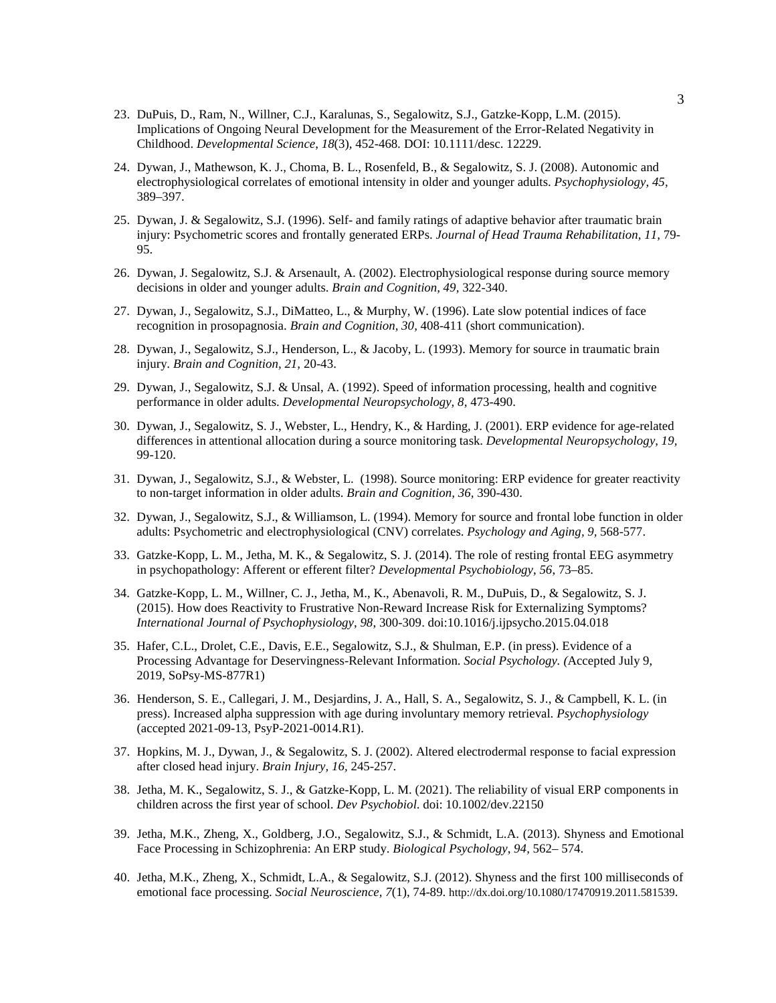- 23. DuPuis, D., Ram, N., Willner, C.J., Karalunas, S., Segalowitz, S.J., Gatzke-Kopp, L.M. (2015). Implications of Ongoing Neural Development for the Measurement of the Error-Related Negativity in Childhood. *Developmental Science*, *18*(3)*,* 452-468*.* DOI: 10.1111/desc. 12229.
- 24. Dywan, J., Mathewson, K. J., Choma, B. L., Rosenfeld, B., & Segalowitz, S. J. (2008). Autonomic and electrophysiological correlates of emotional intensity in older and younger adults. *Psychophysiology*, *45*, 389–397.
- 25. Dywan, J. & Segalowitz, S.J. (1996). Self- and family ratings of adaptive behavior after traumatic brain injury: Psychometric scores and frontally generated ERPs. *Journal of Head Trauma Rehabilitation, 11,* 79- 95.
- 26. Dywan, J. Segalowitz, S.J. & Arsenault, A. (2002). Electrophysiological response during source memory decisions in older and younger adults. *Brain and Cognition, 49,* 322-340.
- 27. Dywan, J., Segalowitz, S.J., DiMatteo, L., & Murphy, W. (1996). Late slow potential indices of face recognition in prosopagnosia. *Brain and Cognition, 30,* 408-411 (short communication).
- 28. Dywan, J., Segalowitz, S.J., Henderson, L., & Jacoby, L. (1993). Memory for source in traumatic brain injury. *Brain and Cognition, 21,* 20-43.
- 29. Dywan, J., Segalowitz, S.J. & Unsal, A. (1992). Speed of information processing, health and cognitive performance in older adults. *Developmental Neuropsychology, 8,* 473-490.
- 30. Dywan, J., Segalowitz, S. J., Webster, L., Hendry, K., & Harding, J. (2001). ERP evidence for age-related differences in attentional allocation during a source monitoring task. *Developmental Neuropsychology, 19,* 99-120.
- 31. Dywan, J., Segalowitz, S.J., & Webster, L. (1998). Source monitoring: ERP evidence for greater reactivity to non-target information in older adults. *Brain and Cognition, 36,* 390-430.
- 32. Dywan, J., Segalowitz, S.J., & Williamson, L. (1994). Memory for source and frontal lobe function in older adults: Psychometric and electrophysiological (CNV) correlates. *Psychology and Aging, 9,* 568-577.
- 33. Gatzke-Kopp, L. M., Jetha, M. K., & Segalowitz, S. J. (2014). The role of resting frontal EEG asymmetry in psychopathology: Afferent or efferent filter? *Developmental Psychobiology*, *56*, 73–85.
- 34. Gatzke-Kopp, L. M., Willner, C. J., Jetha, M., K., Abenavoli, R. M., DuPuis, D., & Segalowitz, S. J. (2015). How does Reactivity to Frustrative Non-Reward Increase Risk for Externalizing Symptoms? *International Journal of Psychophysiology*, *98*, 300-309. doi:10.1016/j.ijpsycho.2015.04.018
- 35. Hafer, C.L., Drolet, C.E., Davis, E.E., Segalowitz, S.J., & Shulman, E.P. (in press). Evidence of a Processing Advantage for Deservingness-Relevant Information. *Social Psychology. (*Accepted July 9, 2019, SoPsy-MS-877R1)
- 36. Henderson, S. E., Callegari, J. M., Desjardins, J. A., Hall, S. A., Segalowitz, S. J., & Campbell, K. L. (in press). Increased alpha suppression with age during involuntary memory retrieval. *Psychophysiology* (accepted 2021-09-13, PsyP-2021-0014.R1).
- 37. Hopkins, M. J., Dywan, J., & Segalowitz, S. J. (2002). Altered electrodermal response to facial expression after closed head injury. *Brain Injury, 16,* 245-257.
- 38. Jetha, M. K., Segalowitz, S. J., & Gatzke-Kopp, L. M. (2021). The reliability of visual ERP components in children across the first year of school. *Dev Psychobiol*. doi: 10.1002/dev.22150
- 39. Jetha, M.K., Zheng, X., Goldberg, J.O., Segalowitz, S.J., & Schmidt, L.A. (2013). Shyness and Emotional Face Processing in Schizophrenia: An ERP study. *Biological Psychology*, *94,* 562– 574.
- 40. Jetha, M.K., Zheng, X., Schmidt, L.A., & Segalowitz, S.J. (2012). Shyness and the first 100 milliseconds of emotional face processing. *Social Neuroscience, 7*(1), 74-89. http://dx.doi.org/10.1080/17470919.2011.581539.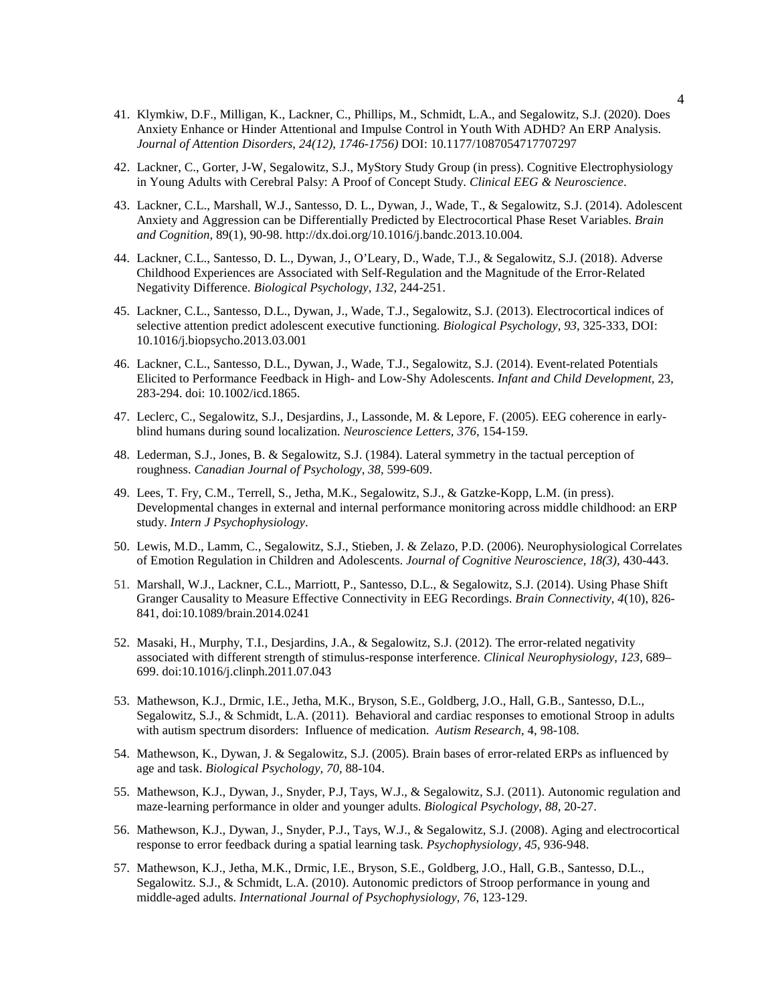- 41. Klymkiw, D.F., Milligan, K., Lackner, C., Phillips, M., Schmidt, L.A., and Segalowitz, S.J. (2020). Does Anxiety Enhance or Hinder Attentional and Impulse Control in Youth With ADHD? An ERP Analysis. *Journal of Attention Disorders*, *24(12), 1746-1756)* DOI: 10.1177/1087054717707297
- 42. Lackner, C., Gorter, J-W, Segalowitz, S.J., MyStory Study Group (in press). Cognitive Electrophysiology in Young Adults with Cerebral Palsy: A Proof of Concept Study. *Clinical EEG & Neuroscience*.
- 43. Lackner, C.L., Marshall, W.J., Santesso, D. L., Dywan, J., Wade, T., & Segalowitz, S.J. (2014). Adolescent Anxiety and Aggression can be Differentially Predicted by Electrocortical Phase Reset Variables. *Brain and Cognition,* 89(1), 90-98. http://dx.doi.org/10.1016/j.bandc.2013.10.004.
- 44. Lackner, C.L., Santesso, D. L., Dywan, J., O'Leary, D., Wade, T.J., & Segalowitz, S.J. (2018). Adverse Childhood Experiences are Associated with Self-Regulation and the Magnitude of the Error-Related Negativity Difference. *Biological Psychology*, *132*, 244-251.
- 45. Lackner, C.L., Santesso, D.L., Dywan, J., Wade, T.J., Segalowitz, S.J. (2013). Electrocortical indices of selective attention predict adolescent executive functioning. *Biological Psychology*, *93*, 325-333, DOI: 10.1016/j.biopsycho.2013.03.001
- 46. Lackner, C.L., Santesso, D.L., Dywan, J., Wade, T.J., Segalowitz, S.J. (2014). Event-related Potentials Elicited to Performance Feedback in High- and Low-Shy Adolescents. *Infant and Child Development,* 23, 283-294. doi: 10.1002/icd.1865.
- 47. Leclerc, C., Segalowitz, S.J., Desjardins, J., Lassonde, M. & Lepore, F. (2005). EEG coherence in earlyblind humans during sound localization. *Neuroscience Letters, 376,* 154-159.
- 48. Lederman, S.J., Jones, B. & Segalowitz, S.J. (1984). Lateral symmetry in the tactual perception of roughness. *Canadian Journal of Psychology, 38,* 599-609.
- 49. Lees, T. Fry, C.M., Terrell, S., Jetha, M.K., Segalowitz, S.J., & Gatzke-Kopp, L.M. (in press). Developmental changes in external and internal performance monitoring across middle childhood: an ERP study. *Intern J Psychophysiology*.
- 50. Lewis, M.D., Lamm, C., Segalowitz, S.J., Stieben, J. & Zelazo, P.D. (2006). Neurophysiological Correlates of Emotion Regulation in Children and Adolescents. *Journal of Cognitive Neuroscience, 18(3),* 430-443.
- 51. Marshall, W.J., Lackner, C.L., Marriott, P., Santesso, D.L., & Segalowitz, S.J. (2014). Using Phase Shift Granger Causality to Measure Effective Connectivity in EEG Recordings. *Brain Connectivity*, *4*(10), 826- 841, doi:10.1089/brain.2014.0241
- 52. Masaki, H., Murphy, T.I., Desjardins, J.A., & Segalowitz, S.J. (2012). The error-related negativity associated with different strength of stimulus-response interference. *Clinical Neurophysiology*, *123*, 689– 699. doi:10.1016/j.clinph.2011.07.043
- 53. Mathewson, K.J., Drmic, I.E., Jetha, M.K., Bryson, S.E., Goldberg, J.O., Hall, G.B., Santesso, D.L., Segalowitz, S.J., & Schmidt, L.A. (2011). Behavioral and cardiac responses to emotional Stroop in adults with autism spectrum disorders: Influence of medication. *Autism Research*, 4, 98-108.
- 54. Mathewson, K., Dywan, J. & Segalowitz, S.J. (2005). Brain bases of error-related ERPs as influenced by age and task. *Biological Psychology, 70,* 88-104.
- 55. Mathewson, K.J., Dywan, J., Snyder, P.J, Tays, W.J., & Segalowitz, S.J. (2011). Autonomic regulation and maze-learning performance in older and younger adults. *Biological Psychology*, *88*, 20-27.
- 56. Mathewson, K.J., Dywan, J., Snyder, P.J., Tays, W.J., & Segalowitz, S.J. (2008). Aging and electrocortical response to error feedback during a spatial learning task. *Psychophysiology, 45*, 936-948.
- 57. Mathewson, K.J., Jetha, M.K., Drmic, I.E., Bryson, S.E., Goldberg, J.O., Hall, G.B., Santesso, D.L., Segalowitz. S.J., & Schmidt, L.A. (2010). Autonomic predictors of Stroop performance in young and middle-aged adults. *International Journal of Psychophysiology, 76*, 123-129.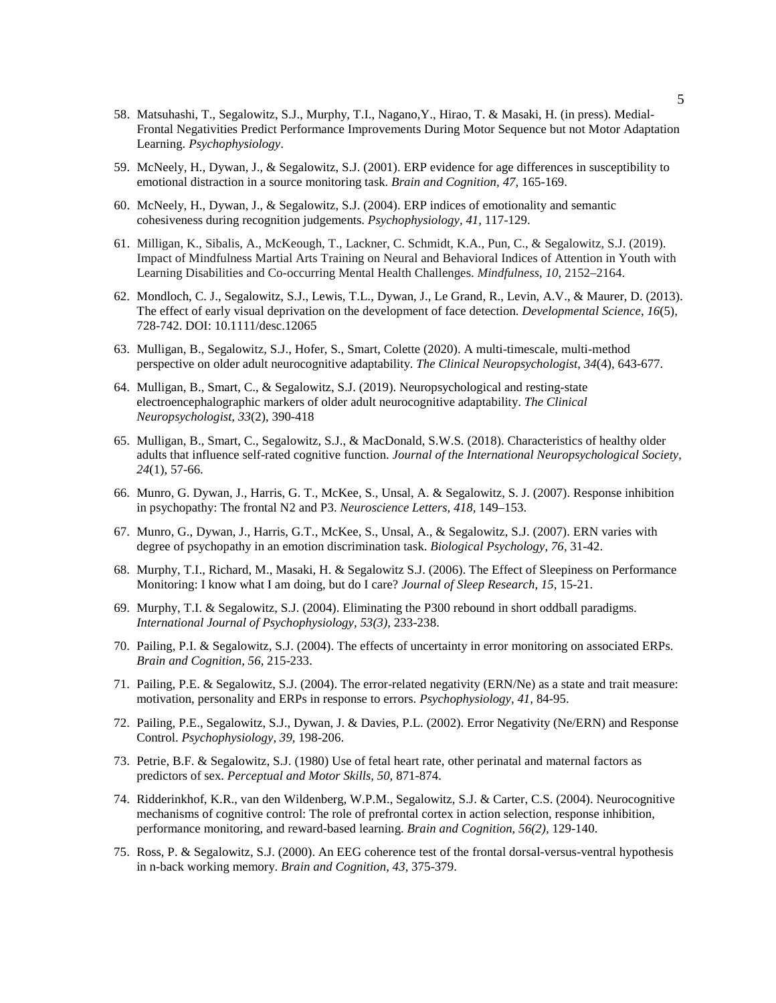- 58. Matsuhashi, T., Segalowitz, S.J., Murphy, T.I., Nagano,Y., Hirao, T. & Masaki, H. (in press). Medial-Frontal Negativities Predict Performance Improvements During Motor Sequence but not Motor Adaptation Learning. *Psychophysiology*.
- 59. McNeely, H., Dywan, J., & Segalowitz, S.J. (2001). ERP evidence for age differences in susceptibility to emotional distraction in a source monitoring task. *Brain and Cognition, 47,* 165-169.
- 60. McNeely, H., Dywan, J., & Segalowitz, S.J. (2004). ERP indices of emotionality and semantic cohesiveness during recognition judgements. *Psychophysiology, 41,* 117-129.
- 61. Milligan, K., Sibalis, A., McKeough, T., Lackner, C. Schmidt, K.A., Pun, C., & Segalowitz, S.J. (2019). Impact of Mindfulness Martial Arts Training on Neural and Behavioral Indices of Attention in Youth with Learning Disabilities and Co-occurring Mental Health Challenges. *Mindfulness*, *10*, 2152–2164.
- 62. Mondloch, C. J., Segalowitz, S.J., Lewis, T.L., Dywan, J., Le Grand, R., Levin, A.V., & Maurer, D. (2013). The effect of early visual deprivation on the development of face detection. *Developmental Science*, *16*(5), 728-742. DOI: 10.1111/desc.12065
- 63. Mulligan, B., Segalowitz, S.J., Hofer, S., Smart, Colette (2020). A multi-timescale, multi-method perspective on older adult neurocognitive adaptability. *The Clinical Neuropsychologist*, *34*(4), 643-677.
- 64. Mulligan, B., Smart, C., & Segalowitz, S.J. (2019). Neuropsychological and resting-state electroencephalographic markers of older adult neurocognitive adaptability. *The Clinical Neuropsychologist, 33*(2), 390-418
- 65. Mulligan, B., Smart, C., Segalowitz, S.J., & MacDonald, S.W.S. (2018). Characteristics of healthy older adults that influence self-rated cognitive function. *Journal of the International Neuropsychological Society*, *24*(1), 57-66.
- 66. Munro, G. Dywan, J., Harris, G. T., McKee, S., Unsal, A. & Segalowitz, S. J. (2007). Response inhibition in psychopathy: The frontal N2 and P3. *Neuroscience Letters, 418,* 149–153.
- 67. Munro, G., Dywan, J., Harris, G.T., McKee, S., Unsal, A., & Segalowitz, S.J. (2007). ERN varies with degree of psychopathy in an emotion discrimination task. *Biological Psychology*, *76*, 31-42.
- 68. Murphy, T.I., Richard, M., Masaki, H. & Segalowitz S.J. (2006). The Effect of Sleepiness on Performance Monitoring: I know what I am doing, but do I care? *Journal of Sleep Research, 15,* 15-21.
- 69. Murphy, T.I. & Segalowitz, S.J. (2004). Eliminating the P300 rebound in short oddball paradigms. *International Journal of Psychophysiology, 53(3),* 233-238.
- 70. Pailing, P.I. & Segalowitz, S.J. (2004). The effects of uncertainty in error monitoring on associated ERPs. *Brain and Cognition, 56,* 215-233.
- 71. Pailing, P.E. & Segalowitz, S.J. (2004). The error-related negativity (ERN/Ne) as a state and trait measure: motivation, personality and ERPs in response to errors. *Psychophysiology, 41,* 84-95.
- 72. Pailing, P.E., Segalowitz, S.J., Dywan, J. & Davies, P.L. (2002). Error Negativity (Ne/ERN) and Response Control. *Psychophysiology, 39,* 198-206.
- 73. Petrie, B.F. & Segalowitz, S.J. (1980) Use of fetal heart rate, other perinatal and maternal factors as predictors of sex. *Perceptual and Motor Skills, 50,* 871-874.
- 74. Ridderinkhof, K.R., van den Wildenberg, W.P.M., Segalowitz, S.J. & Carter, C.S. (2004). Neurocognitive mechanisms of cognitive control: The role of prefrontal cortex in action selection, response inhibition, performance monitoring, and reward-based learning. *Brain and Cognition, 56(2),* 129-140.
- 75. Ross, P. & Segalowitz, S.J. (2000). An EEG coherence test of the frontal dorsal-versus-ventral hypothesis in n-back working memory. *Brain and Cognition, 43,* 375-379.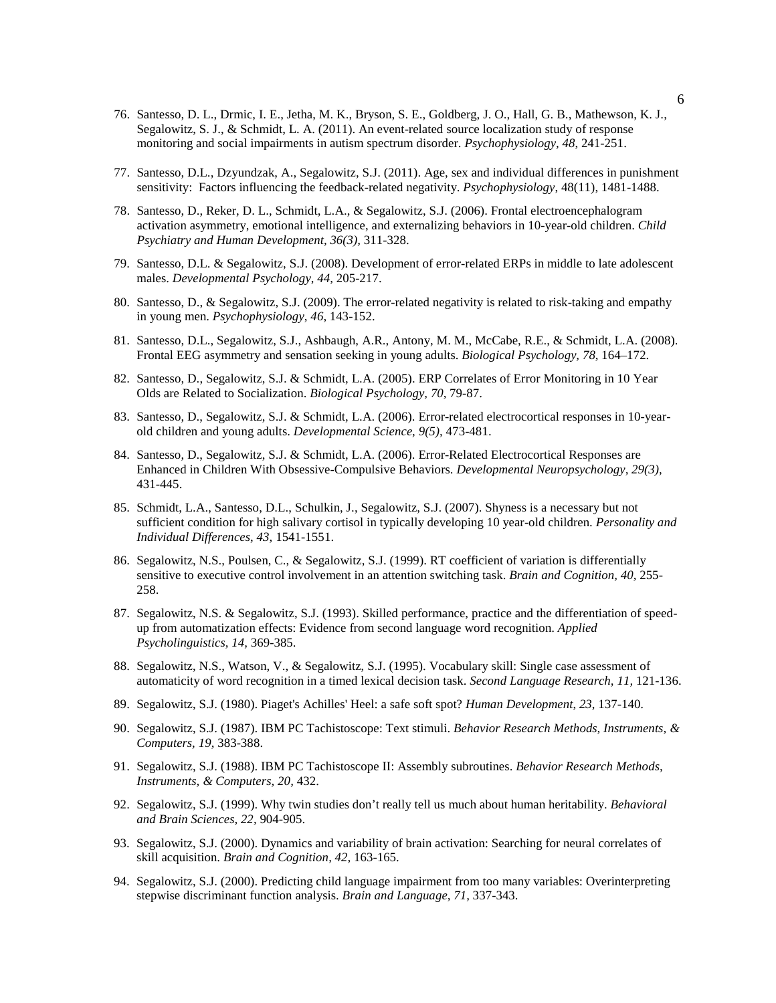- 76. Santesso, D. L., Drmic, I. E., Jetha, M. K., Bryson, S. E., Goldberg, J. O., Hall, G. B., Mathewson, K. J., Segalowitz, S. J., & Schmidt, L. A. (2011). An event-related source localization study of response monitoring and social impairments in autism spectrum disorder. *Psychophysiology, 48*, 241-251.
- 77. Santesso, D.L., Dzyundzak, A., Segalowitz, S.J. (2011). Age, sex and individual differences in punishment sensitivity: Factors influencing the feedback-related negativity. *Psychophysiology*, 48(11), 1481-1488.
- 78. Santesso, D., Reker, D. L., Schmidt, L.A., & Segalowitz, S.J. (2006). Frontal electroencephalogram activation asymmetry, emotional intelligence, and externalizing behaviors in 10-year-old children. *Child Psychiatry and Human Development, 36(3),* 311-328.
- 79. Santesso, D.L. & Segalowitz, S.J. (2008). Development of error-related ERPs in middle to late adolescent males. *Developmental Psychology*, *44,* 205-217.
- 80. Santesso, D., & Segalowitz, S.J. (2009). The error-related negativity is related to risk-taking and empathy in young men. *Psychophysiology*, *46*, 143-152.
- 81. Santesso, D.L., Segalowitz, S.J., Ashbaugh, A.R., Antony, M. M., McCabe, R.E., & Schmidt, L.A. (2008). Frontal EEG asymmetry and sensation seeking in young adults. *Biological Psychology, 78*, 164–172.
- 82. Santesso, D., Segalowitz, S.J. & Schmidt, L.A. (2005). ERP Correlates of Error Monitoring in 10 Year Olds are Related to Socialization. *Biological Psychology, 70,* 79-87.
- 83. Santesso, D., Segalowitz, S.J. & Schmidt, L.A. (2006). Error-related electrocortical responses in 10-yearold children and young adults. *Developmental Science, 9(5),* 473-481.
- 84. Santesso, D., Segalowitz, S.J. & Schmidt, L.A. (2006). Error-Related Electrocortical Responses are Enhanced in Children With Obsessive-Compulsive Behaviors. *Developmental Neuropsychology, 29(3),*  431-445.
- 85. Schmidt, L.A., Santesso, D.L., Schulkin, J., Segalowitz, S.J. (2007). Shyness is a necessary but not sufficient condition for high salivary cortisol in typically developing 10 year-old children. *Personality and Individual Differences*, *43*, 1541-1551.
- 86. Segalowitz, N.S., Poulsen, C., & Segalowitz, S.J. (1999). RT coefficient of variation is differentially sensitive to executive control involvement in an attention switching task. *Brain and Cognition, 40,* 255- 258.
- 87. Segalowitz, N.S. & Segalowitz, S.J. (1993). Skilled performance, practice and the differentiation of speedup from automatization effects: Evidence from second language word recognition. *Applied Psycholinguistics, 14,* 369-385.
- 88. Segalowitz, N.S., Watson, V., & Segalowitz, S.J. (1995). Vocabulary skill: Single case assessment of automaticity of word recognition in a timed lexical decision task. *Second Language Research, 11,* 121-136.
- 89. Segalowitz, S.J. (1980). Piaget's Achilles' Heel: a safe soft spot? *Human Development*, *23*, 137-140.
- 90. Segalowitz, S.J. (1987). IBM PC Tachistoscope: Text stimuli. *Behavior Research Methods, Instruments, & Computers, 19,* 383-388.
- 91. Segalowitz, S.J. (1988). IBM PC Tachistoscope II: Assembly subroutines. *Behavior Research Methods, Instruments, & Computers, 20,* 432.
- 92. Segalowitz, S.J. (1999). Why twin studies don't really tell us much about human heritability. *Behavioral and Brain Sciences, 22,* 904-905.
- 93. Segalowitz, S.J. (2000). Dynamics and variability of brain activation: Searching for neural correlates of skill acquisition. *Brain and Cognition, 42,* 163-165.
- 94. Segalowitz, S.J. (2000). Predicting child language impairment from too many variables: Overinterpreting stepwise discriminant function analysis. *Brain and Language, 71,* 337-343.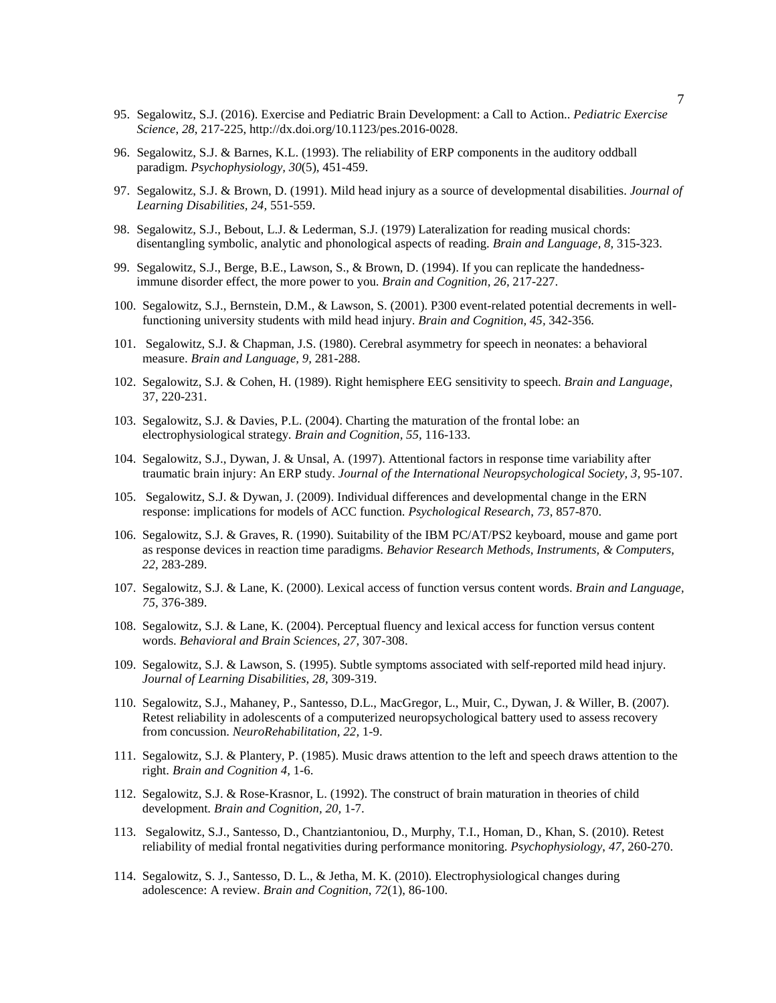- 95. Segalowitz, S.J. (2016). Exercise and Pediatric Brain Development: a Call to Action.. *Pediatric Exercise Science*, *28*, 217-225, http://dx.doi.org/10.1123/pes.2016-0028.
- 96. Segalowitz, S.J. & Barnes, K.L. (1993). The reliability of ERP components in the auditory oddball paradigm. *Psychophysiology, 30*(5)*,* 451-459.
- 97. Segalowitz, S.J. & Brown, D. (1991). Mild head injury as a source of developmental disabilities. *Journal of Learning Disabilities, 24,* 551-559.
- 98. Segalowitz, S.J., Bebout, L.J. & Lederman, S.J. (1979) Lateralization for reading musical chords: disentangling symbolic, analytic and phonological aspects of reading. *Brain and Language, 8,* 315-323.
- 99. Segalowitz, S.J., Berge, B.E., Lawson, S., & Brown, D. (1994). If you can replicate the handednessimmune disorder effect, the more power to you. *Brain and Cognition, 26,* 217-227.
- 100. Segalowitz, S.J., Bernstein, D.M., & Lawson, S. (2001). P300 event-related potential decrements in wellfunctioning university students with mild head injury. *Brain and Cognition, 45,* 342-356.
- 101. Segalowitz, S.J. & Chapman, J.S. (1980). Cerebral asymmetry for speech in neonates: a behavioral measure. *Brain and Language, 9,* 281-288.
- 102. Segalowitz, S.J. & Cohen, H. (1989). Right hemisphere EEG sensitivity to speech. *Brain and Language*, 37, 220-231.
- 103. Segalowitz, S.J. & Davies, P.L. (2004). Charting the maturation of the frontal lobe: an electrophysiological strategy. *Brain and Cognition, 55,* 116-133.
- 104. Segalowitz, S.J., Dywan, J. & Unsal, A. (1997). Attentional factors in response time variability after traumatic brain injury: An ERP study. *Journal of the International Neuropsychological Society, 3,* 95-107.
- 105. Segalowitz, S.J. & Dywan, J. (2009). Individual differences and developmental change in the ERN response: implications for models of ACC function. *Psychological Research*, *73*, 857-870.
- 106. Segalowitz, S.J. & Graves, R. (1990). Suitability of the IBM PC/AT/PS2 keyboard, mouse and game port as response devices in reaction time paradigms. *Behavior Research Methods, Instruments, & Computers, 22,* 283-289.
- 107. Segalowitz, S.J. & Lane, K. (2000). Lexical access of function versus content words. *Brain and Language, 75,* 376-389.
- 108. Segalowitz, S.J. & Lane, K. (2004). Perceptual fluency and lexical access for function versus content words. *Behavioral and Brain Sciences, 27,* 307-308.
- 109. Segalowitz, S.J. & Lawson, S. (1995). Subtle symptoms associated with self-reported mild head injury. *Journal of Learning Disabilities, 28,* 309-319.
- 110. Segalowitz, S.J., Mahaney, P., Santesso, D.L., MacGregor, L., Muir, C., Dywan, J. & Willer, B. (2007). Retest reliability in adolescents of a computerized neuropsychological battery used to assess recovery from concussion. *NeuroRehabilitation, 22,* 1-9.
- 111. Segalowitz, S.J. & Plantery, P. (1985). Music draws attention to the left and speech draws attention to the right. *Brain and Cognition 4,* 1-6.
- 112. Segalowitz, S.J. & Rose-Krasnor, L. (1992). The construct of brain maturation in theories of child development. *Brain and Cognition, 20,* 1-7.
- 113. Segalowitz, S.J., Santesso, D., Chantziantoniou, D., Murphy, T.I., Homan, D., Khan, S. (2010). Retest reliability of medial frontal negativities during performance monitoring. *Psychophysiology*, *47*, 260-270.
- 114. Segalowitz, S. J., Santesso, D. L., & Jetha, M. K. (2010). Electrophysiological changes during adolescence: A review. *Brain and Cognition*, *72*(1), 86-100.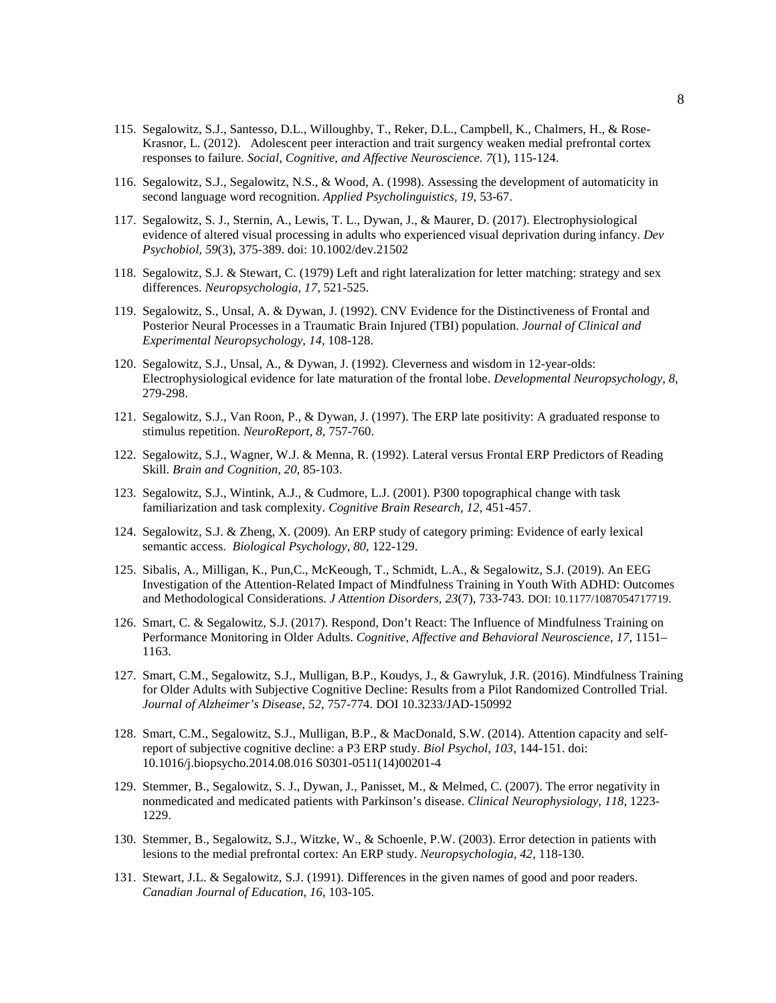- 115. Segalowitz, S.J., Santesso, D.L., Willoughby, T., Reker, D.L., Campbell, K., Chalmers, H., & Rose-Krasnor, L. (2012). Adolescent peer interaction and trait surgency weaken medial prefrontal cortex responses to failure. *Social, Cognitive, and Affective Neuroscience. 7*(1), 115-124.
- 116. Segalowitz, S.J., Segalowitz, N.S., & Wood, A. (1998). Assessing the development of automaticity in second language word recognition. *Applied Psycholinguistics, 19,* 53-67.
- 117. Segalowitz, S. J., Sternin, A., Lewis, T. L., Dywan, J., & Maurer, D. (2017). Electrophysiological evidence of altered visual processing in adults who experienced visual deprivation during infancy. *Dev Psychobiol, 59*(3), 375-389. doi: 10.1002/dev.21502
- 118. Segalowitz, S.J. & Stewart, C. (1979) Left and right lateralization for letter matching: strategy and sex differences. *Neuropsychologia, 17,* 521-525.
- 119. Segalowitz, S., Unsal, A. & Dywan, J. (1992). CNV Evidence for the Distinctiveness of Frontal and Posterior Neural Processes in a Traumatic Brain Injured (TBI) population. *Journal of Clinical and Experimental Neuropsychology, 14,* 108-128.
- 120. Segalowitz, S.J., Unsal, A., & Dywan, J. (1992). Cleverness and wisdom in 12-year-olds: Electrophysiological evidence for late maturation of the frontal lobe. *Developmental Neuropsychology, 8,* 279-298.
- 121. Segalowitz, S.J., Van Roon, P., & Dywan, J. (1997). The ERP late positivity: A graduated response to stimulus repetition. *NeuroReport, 8,* 757-760.
- 122. Segalowitz, S.J., Wagner, W.J. & Menna, R. (1992). Lateral versus Frontal ERP Predictors of Reading Skill. *Brain and Cognition, 20,* 85-103.
- 123. Segalowitz, S.J., Wintink, A.J., & Cudmore, L.J. (2001). P300 topographical change with task familiarization and task complexity. *Cognitive Brain Research, 12,* 451-457.
- 124. Segalowitz, S.J. & Zheng, X. (2009). An ERP study of category priming: Evidence of early lexical semantic access. *Biological Psychology*, *80*, 122-129.
- 125. Sibalis, A., Milligan, K., Pun,C., McKeough, T., Schmidt, L.A., & Segalowitz, S.J. (2019). An EEG Investigation of the Attention-Related Impact of Mindfulness Training in Youth With ADHD: Outcomes and Methodological Considerations. *J Attention Disorders, 23*(7), 733-743. DOI: 10.1177/1087054717719.
- 126. Smart, C. & Segalowitz, S.J. (2017). Respond, Don't React: The Influence of Mindfulness Training on Performance Monitoring in Older Adults. *Cognitive, Affective and Behavioral Neuroscience, 17,* 1151– 1163.
- 127. Smart, C.M., Segalowitz, S.J., Mulligan, B.P., Koudys, J., & Gawryluk, J.R. (2016). Mindfulness Training for Older Adults with Subjective Cognitive Decline: Results from a Pilot Randomized Controlled Trial. *Journal of Alzheimer's Disease*, *52*, 757-774. DOI 10.3233/JAD-150992
- 128. Smart, C.M., Segalowitz, S.J., Mulligan, B.P., & MacDonald, S.W. (2014). Attention capacity and selfreport of subjective cognitive decline: a P3 ERP study. *Biol Psychol, 103*, 144-151. doi: 10.1016/j.biopsycho.2014.08.016 S0301-0511(14)00201-4
- 129. Stemmer, B., Segalowitz, S. J., Dywan, J., Panisset, M., & Melmed, C. (2007). The error negativity in nonmedicated and medicated patients with Parkinson's disease. *Clinical Neurophysiology*, *118,* 1223- 1229.
- 130. Stemmer, B., Segalowitz, S.J., Witzke, W., & Schoenle, P.W. (2003). Error detection in patients with lesions to the medial prefrontal cortex: An ERP study. *Neuropsychologia, 42,* 118-130.
- 131. Stewart, J.L. & Segalowitz, S.J. (1991). Differences in the given names of good and poor readers. *Canadian Journal of Education, 16,* 103-105.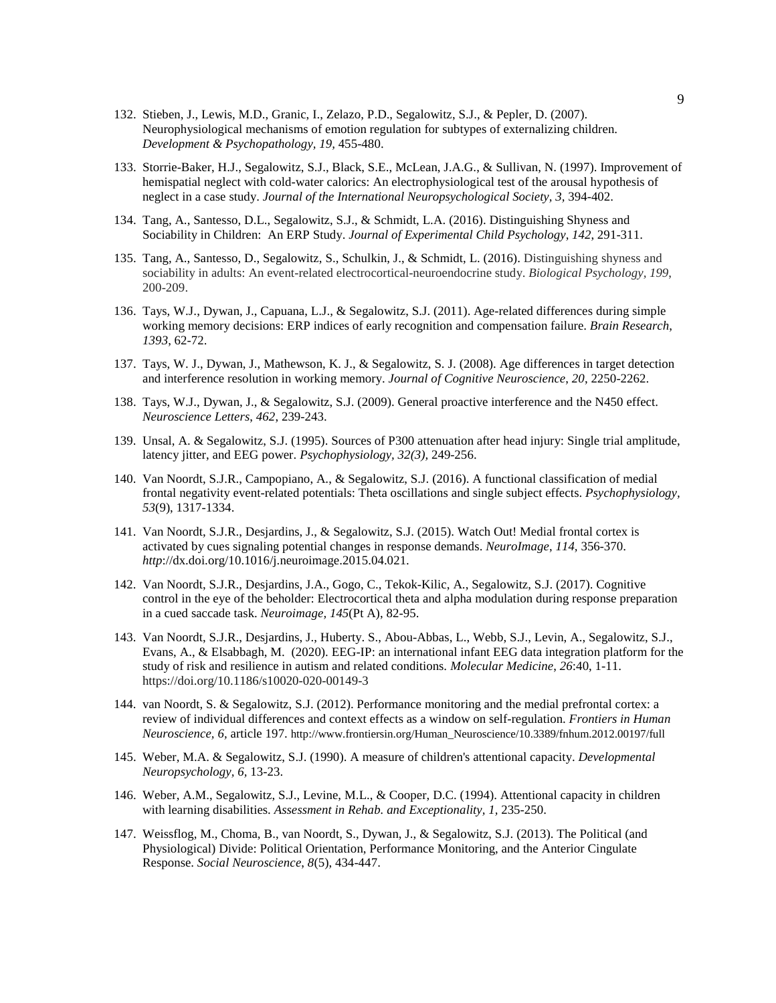- 132. Stieben, J., Lewis, M.D., Granic, I., Zelazo, P.D., Segalowitz, S.J., & Pepler, D. (2007). Neurophysiological mechanisms of emotion regulation for subtypes of externalizing children. *Development & Psychopathology, 19,* 455-480.
- 133. Storrie-Baker, H.J., Segalowitz, S.J., Black, S.E., McLean, J.A.G., & Sullivan, N. (1997). Improvement of hemispatial neglect with cold-water calorics: An electrophysiological test of the arousal hypothesis of neglect in a case study. *Journal of the International Neuropsychological Society, 3,* 394-402.
- 134. Tang, A., Santesso, D.L., Segalowitz, S.J., & Schmidt, L.A. (2016). Distinguishing Shyness and Sociability in Children: An ERP Study. *Journal of Experimental Child Psychology*, *142*, 291-311.
- 135. Tang, A., Santesso, D., Segalowitz, S., Schulkin, J., & Schmidt, L. (2016). Distinguishing shyness and sociability in adults: An event-related electrocortical-neuroendocrine study. *Biological Psychology, 199*, 200-209.
- 136. Tays, W.J., Dywan, J., Capuana, L.J., & Segalowitz, S.J. (2011). Age-related differences during simple working memory decisions: ERP indices of early recognition and compensation failure. *Brain Research*, *1393*, 62-72.
- 137. Tays, W. J., Dywan, J., Mathewson, K. J., & Segalowitz, S. J. (2008). Age differences in target detection and interference resolution in working memory. *Journal of Cognitive Neuroscience*, *20*, 2250-2262.
- 138. Tays, W.J., Dywan, J., & Segalowitz, S.J. (2009). General proactive interference and the N450 effect. *Neuroscience Letters*, *462*, 239-243.
- 139. Unsal, A. & Segalowitz, S.J. (1995). Sources of P300 attenuation after head injury: Single trial amplitude, latency jitter, and EEG power. *Psychophysiology, 32(3),* 249-256.
- 140. Van Noordt, S.J.R., Campopiano, A., & Segalowitz, S.J. (2016). A functional classification of medial frontal negativity event-related potentials: Theta oscillations and single subject effects. *Psychophysiology, 53*(9), 1317-1334.
- 141. Van Noordt, S.J.R., Desjardins, J., & Segalowitz, S.J. (2015). Watch Out! Medial frontal cortex is activated by cues signaling potential changes in response demands. *NeuroImage*, *114,* 356-370. *http*://dx.doi.org/10.1016/j.neuroimage.2015.04.021.
- 142. Van Noordt, S.J.R., Desjardins, J.A., Gogo, C., Tekok-Kilic, A., Segalowitz, S.J. (2017). Cognitive control in the eye of the beholder: Electrocortical theta and alpha modulation during response preparation in a cued saccade task. *Neuroimage, 145*(Pt A), 82-95.
- 143. Van Noordt, S.J.R., Desjardins, J., Huberty. S., Abou-Abbas, L., Webb, S.J., Levin, A., Segalowitz, S.J., Evans, A., & Elsabbagh, M. (2020). EEG-IP: an international infant EEG data integration platform for the study of risk and resilience in autism and related conditions. *Molecular Medicine*, *26*:40, 1-11. https://doi.org/10.1186/s10020-020-00149-3
- 144. van Noordt, S. & Segalowitz, S.J. (2012). Performance monitoring and the medial prefrontal cortex: a review of individual differences and context effects as a window on self-regulation. *Frontiers in Human Neuroscience, 6,* article 197. http://www.frontiersin.org/Human\_Neuroscience/10.3389/fnhum.2012.00197/full
- 145. Weber, M.A. & Segalowitz, S.J. (1990). A measure of children's attentional capacity. *Developmental Neuropsychology, 6,* 13-23.
- 146. Weber, A.M., Segalowitz, S.J., Levine, M.L., & Cooper, D.C. (1994). Attentional capacity in children with learning disabilities. *Assessment in Rehab. and Exceptionality, 1,* 235-250.
- 147. Weissflog, M., Choma, B., van Noordt, S., Dywan, J., & Segalowitz, S.J. (2013). The Political (and Physiological) Divide: Political Orientation, Performance Monitoring, and the Anterior Cingulate Response. *Social Neuroscience*, *8*(5), 434-447.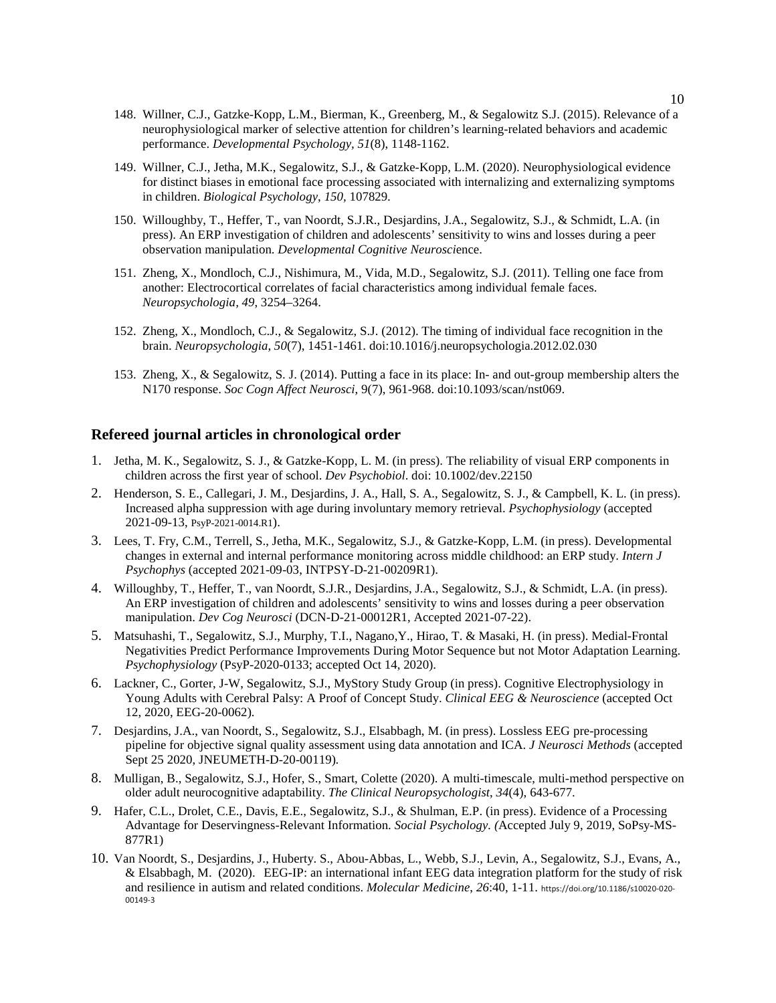- 148. Willner, C.J., Gatzke-Kopp, L.M., Bierman, K., Greenberg, M., & Segalowitz S.J. (2015). Relevance of a neurophysiological marker of selective attention for children's learning-related behaviors and academic performance. *Developmental Psychology, 51*(8), 1148-1162.
- 149. Willner, C.J., Jetha, M.K., Segalowitz, S.J., & Gatzke-Kopp, L.M. (2020). Neurophysiological evidence for distinct biases in emotional face processing associated with internalizing and externalizing symptoms in children. *Biological Psychology*, *150,* 107829*.*
- 150. Willoughby, T., Heffer, T., van Noordt, S.J.R., Desjardins, J.A., Segalowitz, S.J., & Schmidt, L.A. (in press). An ERP investigation of children and adolescents' sensitivity to wins and losses during a peer observation manipulation. *Developmental Cognitive Neurosci*ence.
- 151. Zheng, X., Mondloch, C.J., Nishimura, M., Vida, M.D., Segalowitz, S.J. (2011). Telling one face from another: Electrocortical correlates of facial characteristics among individual female faces. *Neuropsychologia, 49*, 3254–3264.
- 152. Zheng, X., Mondloch, C.J., & Segalowitz, S.J. (2012). The timing of individual face recognition in the brain. *Neuropsychologia*, *50*(7), 1451-1461. doi:10.1016/j.neuropsychologia.2012.02.030
- 153. Zheng, X., & Segalowitz, S. J. (2014). Putting a face in its place: In- and out-group membership alters the N170 response. *Soc Cogn Affect Neurosci*, 9(7), 961-968. doi:10.1093/scan/nst069.

## **Refereed journal articles in chronological order**

- 1. Jetha, M. K., Segalowitz, S. J., & Gatzke-Kopp, L. M. (in press). The reliability of visual ERP components in children across the first year of school. *Dev Psychobiol*. doi: 10.1002/dev.22150
- 2. Henderson, S. E., Callegari, J. M., Desjardins, J. A., Hall, S. A., Segalowitz, S. J., & Campbell, K. L. (in press). Increased alpha suppression with age during involuntary memory retrieval. *Psychophysiology* (accepted 2021-09-13, PsyP-2021-0014.R1).
- 3. Lees, T. Fry, C.M., Terrell, S., Jetha, M.K., Segalowitz, S.J., & Gatzke-Kopp, L.M. (in press). Developmental changes in external and internal performance monitoring across middle childhood: an ERP study. *Intern J Psychophys* (accepted 2021-09-03, INTPSY-D-21-00209R1).
- 4. Willoughby, T., Heffer, T., van Noordt, S.J.R., Desjardins, J.A., Segalowitz, S.J., & Schmidt, L.A. (in press). An ERP investigation of children and adolescents' sensitivity to wins and losses during a peer observation manipulation. *Dev Cog Neurosci* (DCN-D-21-00012R1, Accepted 2021-07-22).
- 5. Matsuhashi, T., Segalowitz, S.J., Murphy, T.I., Nagano,Y., Hirao, T. & Masaki, H. (in press). Medial-Frontal Negativities Predict Performance Improvements During Motor Sequence but not Motor Adaptation Learning. *Psychophysiology* (PsyP-2020-0133; accepted Oct 14, 2020).
- 6. Lackner, C., Gorter, J-W, Segalowitz, S.J., MyStory Study Group (in press). Cognitive Electrophysiology in Young Adults with Cerebral Palsy: A Proof of Concept Study. *Clinical EEG & Neuroscience* (accepted Oct 12, 2020, EEG-20-0062).
- 7. Desjardins, J.A., van Noordt, S., Segalowitz, S.J., Elsabbagh, M. (in press). Lossless EEG pre-processing pipeline for objective signal quality assessment using data annotation and ICA. *J Neurosci Methods* (accepted Sept 25 2020, JNEUMETH-D-20-00119)*.*
- 8. Mulligan, B., Segalowitz, S.J., Hofer, S., Smart, Colette (2020). A multi-timescale, multi-method perspective on older adult neurocognitive adaptability. *The Clinical Neuropsychologist*, *34*(4), 643-677.
- 9. Hafer, C.L., Drolet, C.E., Davis, E.E., Segalowitz, S.J., & Shulman, E.P. (in press). Evidence of a Processing Advantage for Deservingness-Relevant Information. *Social Psychology. (*Accepted July 9, 2019, SoPsy-MS-877R1)
- 10. Van Noordt, S., Desjardins, J., Huberty. S., Abou-Abbas, L., Webb, S.J., Levin, A., Segalowitz, S.J., Evans, A., & Elsabbagh, M. (2020). EEG-IP: an international infant EEG data integration platform for the study of risk and resilience in autism and related conditions. *Molecular Medicine*, *26*:40, 1-11. https://doi.org/10.1186/s10020-020- 00149-3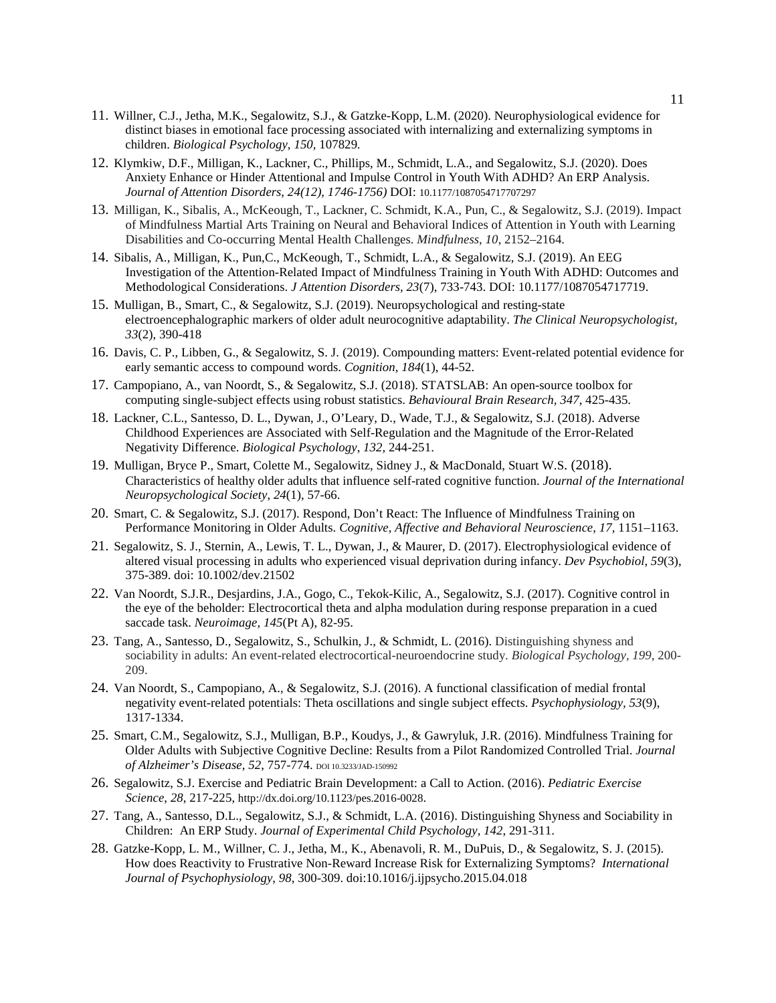- 11. Willner, C.J., Jetha, M.K., Segalowitz, S.J., & Gatzke-Kopp, L.M. (2020). Neurophysiological evidence for distinct biases in emotional face processing associated with internalizing and externalizing symptoms in children. *Biological Psychology*, *150,* 107829*.*
- 12. Klymkiw, D.F., Milligan, K., Lackner, C., Phillips, M., Schmidt, L.A., and Segalowitz, S.J. (2020). Does Anxiety Enhance or Hinder Attentional and Impulse Control in Youth With ADHD? An ERP Analysis. *Journal of Attention Disorders*, *24(12), 1746-1756)* DOI: 10.1177/1087054717707297
- 13. Milligan, K., Sibalis, A., McKeough, T., Lackner, C. Schmidt, K.A., Pun, C., & Segalowitz, S.J. (2019). Impact of Mindfulness Martial Arts Training on Neural and Behavioral Indices of Attention in Youth with Learning Disabilities and Co-occurring Mental Health Challenges. *Mindfulness*, *10*, 2152–2164.
- 14. Sibalis, A., Milligan, K., Pun,C., McKeough, T., Schmidt, L.A., & Segalowitz, S.J. (2019). An EEG Investigation of the Attention-Related Impact of Mindfulness Training in Youth With ADHD: Outcomes and Methodological Considerations. *J Attention Disorders, 23*(7), 733-743. DOI: 10.1177/1087054717719.
- 15. Mulligan, B., Smart, C., & Segalowitz, S.J. (2019). Neuropsychological and resting-state electroencephalographic markers of older adult neurocognitive adaptability. *The Clinical Neuropsychologist, 33*(2), 390-418
- 16. Davis, C. P., Libben, G., & Segalowitz, S. J. (2019). Compounding matters: Event-related potential evidence for early semantic access to compound words. *Cognition, 184*(1), 44-52.
- 17. Campopiano, A., van Noordt, S., & Segalowitz, S.J. (2018). STATSLAB: An open-source toolbox for computing single-subject effects using robust statistics. *Behavioural Brain Research, 347*, 425-435.
- 18. Lackner, C.L., Santesso, D. L., Dywan, J., O'Leary, D., Wade, T.J., & Segalowitz, S.J. (2018). Adverse Childhood Experiences are Associated with Self-Regulation and the Magnitude of the Error-Related Negativity Difference. *Biological Psychology*, *132*, 244-251.
- 19. Mulligan, Bryce P., Smart, Colette M., Segalowitz, Sidney J., & MacDonald, Stuart W.S. (2018). Characteristics of healthy older adults that influence self-rated cognitive function. *Journal of the International Neuropsychological Society*, *24*(1), 57-66.
- 20. Smart, C. & Segalowitz, S.J. (2017). Respond, Don't React: The Influence of Mindfulness Training on Performance Monitoring in Older Adults. *Cognitive, Affective and Behavioral Neuroscience, 17,* 1151–1163.
- 21. Segalowitz, S. J., Sternin, A., Lewis, T. L., Dywan, J., & Maurer, D. (2017). Electrophysiological evidence of altered visual processing in adults who experienced visual deprivation during infancy. *Dev Psychobiol, 59*(3), 375-389. doi: 10.1002/dev.21502
- 22. Van Noordt, S.J.R., Desjardins, J.A., Gogo, C., Tekok-Kilic, A., Segalowitz, S.J. (2017). Cognitive control in the eye of the beholder: Electrocortical theta and alpha modulation during response preparation in a cued saccade task. *Neuroimage, 145*(Pt A), 82-95.
- 23. Tang, A., Santesso, D., Segalowitz, S., Schulkin, J., & Schmidt, L. (2016). Distinguishing shyness and sociability in adults: An event-related electrocortical-neuroendocrine study. *Biological Psychology, 199*, 200- 209.
- 24. Van Noordt, S., Campopiano, A., & Segalowitz, S.J. (2016). A functional classification of medial frontal negativity event-related potentials: Theta oscillations and single subject effects. *Psychophysiology, 53*(9), 1317-1334.
- 25. Smart, C.M., Segalowitz, S.J., Mulligan, B.P., Koudys, J., & Gawryluk, J.R. (2016). Mindfulness Training for Older Adults with Subjective Cognitive Decline: Results from a Pilot Randomized Controlled Trial. *Journal of Alzheimer's Disease*, *52*, 757-774. DOI 10.3233/JAD-150992
- 26. Segalowitz, S.J. Exercise and Pediatric Brain Development: a Call to Action. (2016). *Pediatric Exercise Science*, *28*, 217-225, http://dx.doi.org/10.1123/pes.2016-0028.
- 27. Tang, A., Santesso, D.L., Segalowitz, S.J., & Schmidt, L.A. (2016). Distinguishing Shyness and Sociability in Children: An ERP Study. *Journal of Experimental Child Psychology*, *142*, 291-311.
- 28. Gatzke-Kopp, L. M., Willner, C. J., Jetha, M., K., Abenavoli, R. M., DuPuis, D., & Segalowitz, S. J. (2015). How does Reactivity to Frustrative Non-Reward Increase Risk for Externalizing Symptoms? *International Journal of Psychophysiology*, *98*, 300-309. doi:10.1016/j.ijpsycho.2015.04.018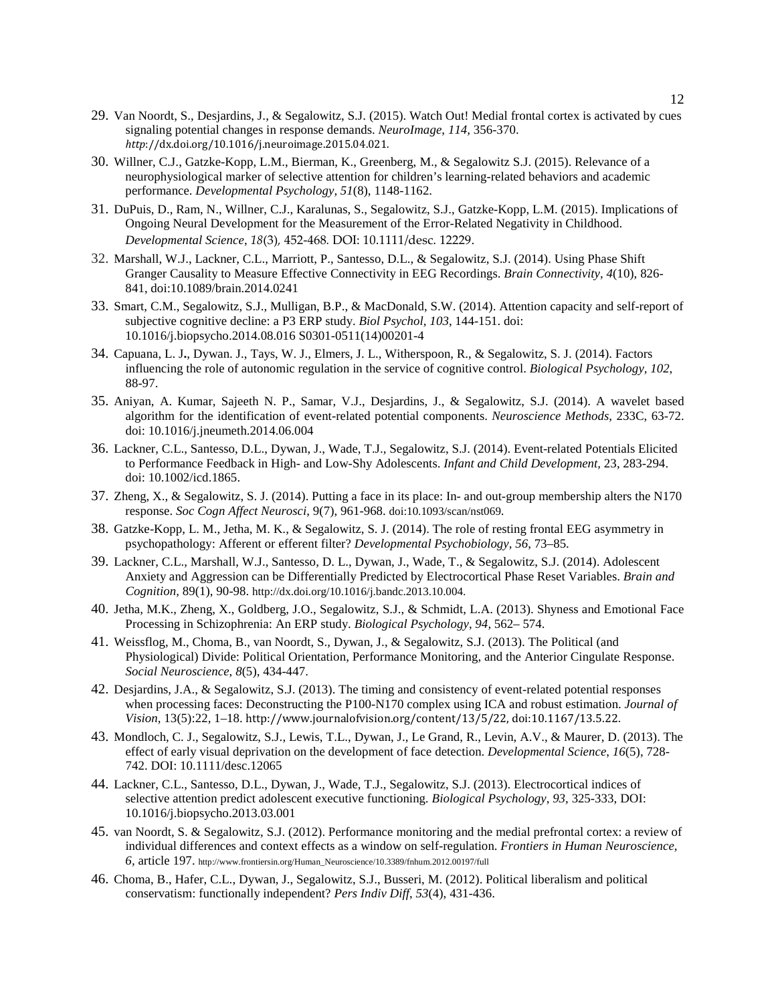- 29. Van Noordt, S., Desjardins, J., & Segalowitz, S.J. (2015). Watch Out! Medial frontal cortex is activated by cues signaling potential changes in response demands. *NeuroImage*, *114,* 356-370. *http*://dx.doi.org/10.1016/j.neuroimage.2015.04.021.
- 30. Willner, C.J., Gatzke-Kopp, L.M., Bierman, K., Greenberg, M., & Segalowitz S.J. (2015). Relevance of a neurophysiological marker of selective attention for children's learning-related behaviors and academic performance. *Developmental Psychology, 51*(8), 1148-1162.
- 31. DuPuis, D., Ram, N., Willner, C.J., Karalunas, S., Segalowitz, S.J., Gatzke-Kopp, L.M. (2015). Implications of Ongoing Neural Development for the Measurement of the Error-Related Negativity in Childhood. *Developmental Science*, *18*(3)*,* 452-468*.* DOI: 10.1111/desc. 12229.
- 32. Marshall, W.J., Lackner, C.L., Marriott, P., Santesso, D.L., & Segalowitz, S.J. (2014). Using Phase Shift Granger Causality to Measure Effective Connectivity in EEG Recordings. *Brain Connectivity*, *4*(10), 826- 841, doi:10.1089/brain.2014.0241
- 33. Smart, C.M., Segalowitz, S.J., Mulligan, B.P., & MacDonald, S.W. (2014). Attention capacity and self-report of subjective cognitive decline: a P3 ERP study. *Biol Psychol, 103*, 144-151. doi: 10.1016/j.biopsycho.2014.08.016 S0301-0511(14)00201-4
- 34. Capuana, L. J**.**, Dywan. J., Tays, W. J., Elmers, J. L., Witherspoon, R., & Segalowitz, S. J. (2014). Factors influencing the role of autonomic regulation in the service of cognitive control. *Biological Psychology, 102*, 88-97.
- 35. Aniyan, A. Kumar, Sajeeth N. P., Samar, V.J., Desjardins, J., & Segalowitz, S.J. (2014). A wavelet based algorithm for the identification of event-related potential components. *Neuroscience Methods*, 233C, 63-72. doi: 10.1016/j.jneumeth.2014.06.004
- 36. Lackner, C.L., Santesso, D.L., Dywan, J., Wade, T.J., Segalowitz, S.J. (2014). Event-related Potentials Elicited to Performance Feedback in High- and Low-Shy Adolescents. *Infant and Child Development,* 23, 283-294. doi: 10.1002/icd.1865.
- 37. Zheng, X., & Segalowitz, S. J. (2014). Putting a face in its place: In- and out-group membership alters the N170 response. *Soc Cogn Affect Neurosci*, 9(7), 961-968. doi:10.1093/scan/nst069.
- 38. Gatzke-Kopp, L. M., Jetha, M. K., & Segalowitz, S. J. (2014). The role of resting frontal EEG asymmetry in psychopathology: Afferent or efferent filter? *Developmental Psychobiology*, *56*, 73–85.
- 39. Lackner, C.L., Marshall, W.J., Santesso, D. L., Dywan, J., Wade, T., & Segalowitz, S.J. (2014). Adolescent Anxiety and Aggression can be Differentially Predicted by Electrocortical Phase Reset Variables. *Brain and Cognition,* 89(1), 90-98. http://dx.doi.org/10.1016/j.bandc.2013.10.004.
- 40. Jetha, M.K., Zheng, X., Goldberg, J.O., Segalowitz, S.J., & Schmidt, L.A. (2013). Shyness and Emotional Face Processing in Schizophrenia: An ERP study. *Biological Psychology*, *94,* 562– 574.
- 41. Weissflog, M., Choma, B., van Noordt, S., Dywan, J., & Segalowitz, S.J. (2013). The Political (and Physiological) Divide: Political Orientation, Performance Monitoring, and the Anterior Cingulate Response. *Social Neuroscience*, *8*(5), 434-447.
- 42. Desjardins, J.A., & Segalowitz, S.J. (2013). The timing and consistency of event-related potential responses when processing faces: Deconstructing the P100-N170 complex using ICA and robust estimation. *Journal of Vision,* 13(5):22, 1–18. http://www.journalofvision.org/content/13/5/22, doi:10.1167/13.5.22.
- 43. Mondloch, C. J., Segalowitz, S.J., Lewis, T.L., Dywan, J., Le Grand, R., Levin, A.V., & Maurer, D. (2013). The effect of early visual deprivation on the development of face detection. *Developmental Science*, *16*(5), 728- 742. DOI: 10.1111/desc.12065
- 44. Lackner, C.L., Santesso, D.L., Dywan, J., Wade, T.J., Segalowitz, S.J. (2013). Electrocortical indices of selective attention predict adolescent executive functioning. *Biological Psychology*, *93*, 325-333, DOI: 10.1016/j.biopsycho.2013.03.001
- 45. van Noordt, S. & Segalowitz, S.J. (2012). Performance monitoring and the medial prefrontal cortex: a review of individual differences and context effects as a window on self-regulation. *Frontiers in Human Neuroscience, 6,* article 197. http://www.frontiersin.org/Human\_Neuroscience/10.3389/fnhum.2012.00197/full
- 46. Choma, B., Hafer, C.L., Dywan, J., Segalowitz, S.J., Busseri, M. (2012). Political liberalism and political conservatism: functionally independent? *Pers Indiv Diff*, *53*(4), 431-436.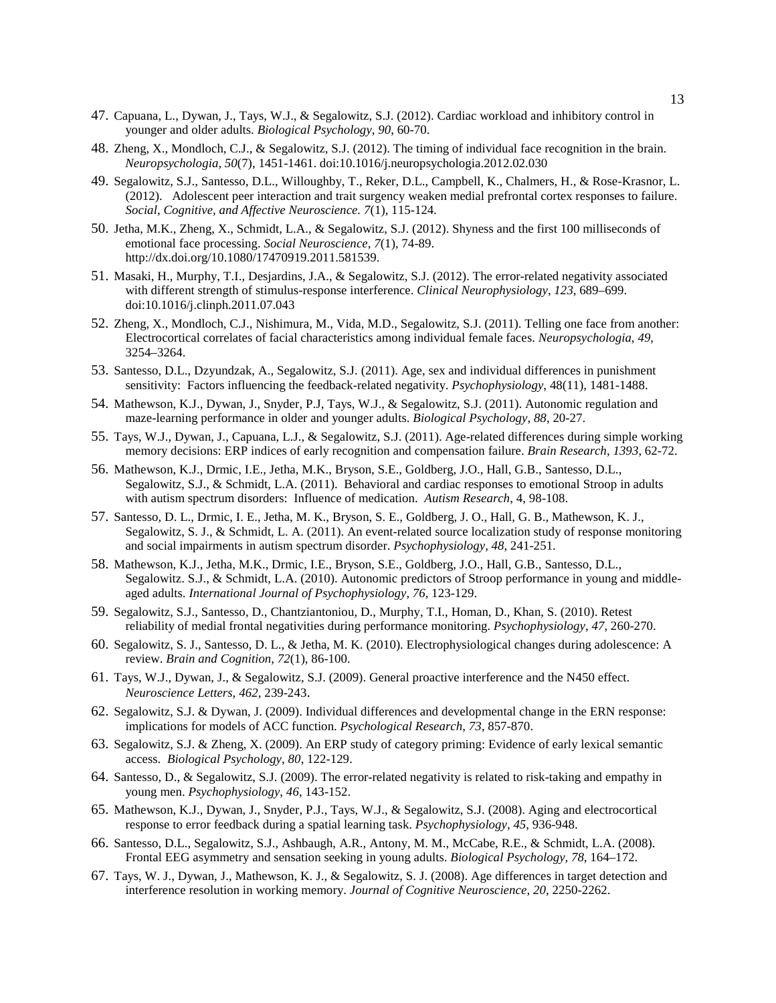- 47. Capuana, L., Dywan, J., Tays, W.J., & Segalowitz, S.J. (2012). Cardiac workload and inhibitory control in younger and older adults. *Biological Psychology*, *90*, 60-70.
- 48. Zheng, X., Mondloch, C.J., & Segalowitz, S.J. (2012). The timing of individual face recognition in the brain. *Neuropsychologia*, *50*(7), 1451-1461. doi:10.1016/j.neuropsychologia.2012.02.030
- 49. Segalowitz, S.J., Santesso, D.L., Willoughby, T., Reker, D.L., Campbell, K., Chalmers, H., & Rose-Krasnor, L. (2012). Adolescent peer interaction and trait surgency weaken medial prefrontal cortex responses to failure. *Social, Cognitive, and Affective Neuroscience. 7*(1), 115-124.
- 50. Jetha, M.K., Zheng, X., Schmidt, L.A., & Segalowitz, S.J. (2012). Shyness and the first 100 milliseconds of emotional face processing. *Social Neuroscience, 7*(1), 74-89. http://dx.doi.org/10.1080/17470919.2011.581539.
- 51. Masaki, H., Murphy, T.I., Desjardins, J.A., & Segalowitz, S.J. (2012). The error-related negativity associated with different strength of stimulus-response interference. *Clinical Neurophysiology*, *123*, 689–699. doi:10.1016/j.clinph.2011.07.043
- 52. Zheng, X., Mondloch, C.J., Nishimura, M., Vida, M.D., Segalowitz, S.J. (2011). Telling one face from another: Electrocortical correlates of facial characteristics among individual female faces. *Neuropsychologia, 49*, 3254–3264.
- 53. Santesso, D.L., Dzyundzak, A., Segalowitz, S.J. (2011). Age, sex and individual differences in punishment sensitivity: Factors influencing the feedback-related negativity. *Psychophysiology*, 48(11), 1481-1488.
- 54. Mathewson, K.J., Dywan, J., Snyder, P.J, Tays, W.J., & Segalowitz, S.J. (2011). Autonomic regulation and maze-learning performance in older and younger adults. *Biological Psychology*, *88*, 20-27.
- 55. Tays, W.J., Dywan, J., Capuana, L.J., & Segalowitz, S.J. (2011). Age-related differences during simple working memory decisions: ERP indices of early recognition and compensation failure. *Brain Research*, *1393*, 62-72.
- 56. Mathewson, K.J., Drmic, I.E., Jetha, M.K., Bryson, S.E., Goldberg, J.O., Hall, G.B., Santesso, D.L., Segalowitz, S.J., & Schmidt, L.A. (2011). Behavioral and cardiac responses to emotional Stroop in adults with autism spectrum disorders: Influence of medication. *Autism Research*, 4, 98-108.
- 57. Santesso, D. L., Drmic, I. E., Jetha, M. K., Bryson, S. E., Goldberg, J. O., Hall, G. B., Mathewson, K. J., Segalowitz, S. J., & Schmidt, L. A. (2011). An event-related source localization study of response monitoring and social impairments in autism spectrum disorder. *Psychophysiology, 48*, 241-251.
- 58. Mathewson, K.J., Jetha, M.K., Drmic, I.E., Bryson, S.E., Goldberg, J.O., Hall, G.B., Santesso, D.L., Segalowitz. S.J., & Schmidt, L.A. (2010). Autonomic predictors of Stroop performance in young and middleaged adults. *International Journal of Psychophysiology, 76*, 123-129.
- 59. Segalowitz, S.J., Santesso, D., Chantziantoniou, D., Murphy, T.I., Homan, D., Khan, S. (2010). Retest reliability of medial frontal negativities during performance monitoring. *Psychophysiology*, *47*, 260-270.
- 60. Segalowitz, S. J., Santesso, D. L., & Jetha, M. K. (2010). Electrophysiological changes during adolescence: A review. *Brain and Cognition*, *72*(1), 86-100.
- 61. Tays, W.J., Dywan, J., & Segalowitz, S.J. (2009). General proactive interference and the N450 effect. *Neuroscience Letters*, *462*, 239-243.
- 62. Segalowitz, S.J. & Dywan, J. (2009). Individual differences and developmental change in the ERN response: implications for models of ACC function. *Psychological Research*, *73*, 857-870.
- 63. Segalowitz, S.J. & Zheng, X. (2009). An ERP study of category priming: Evidence of early lexical semantic access. *Biological Psychology*, *80*, 122-129.
- 64. Santesso, D., & Segalowitz, S.J. (2009). The error-related negativity is related to risk-taking and empathy in young men. *Psychophysiology*, *46*, 143-152.
- 65. Mathewson, K.J., Dywan, J., Snyder, P.J., Tays, W.J., & Segalowitz, S.J. (2008). Aging and electrocortical response to error feedback during a spatial learning task. *Psychophysiology, 45*, 936-948.
- 66. Santesso, D.L., Segalowitz, S.J., Ashbaugh, A.R., Antony, M. M., McCabe, R.E., & Schmidt, L.A. (2008). Frontal EEG asymmetry and sensation seeking in young adults. *Biological Psychology, 78*, 164–172.
- 67. Tays, W. J., Dywan, J., Mathewson, K. J., & Segalowitz, S. J. (2008). Age differences in target detection and interference resolution in working memory. *Journal of Cognitive Neuroscience*, *20*, 2250-2262.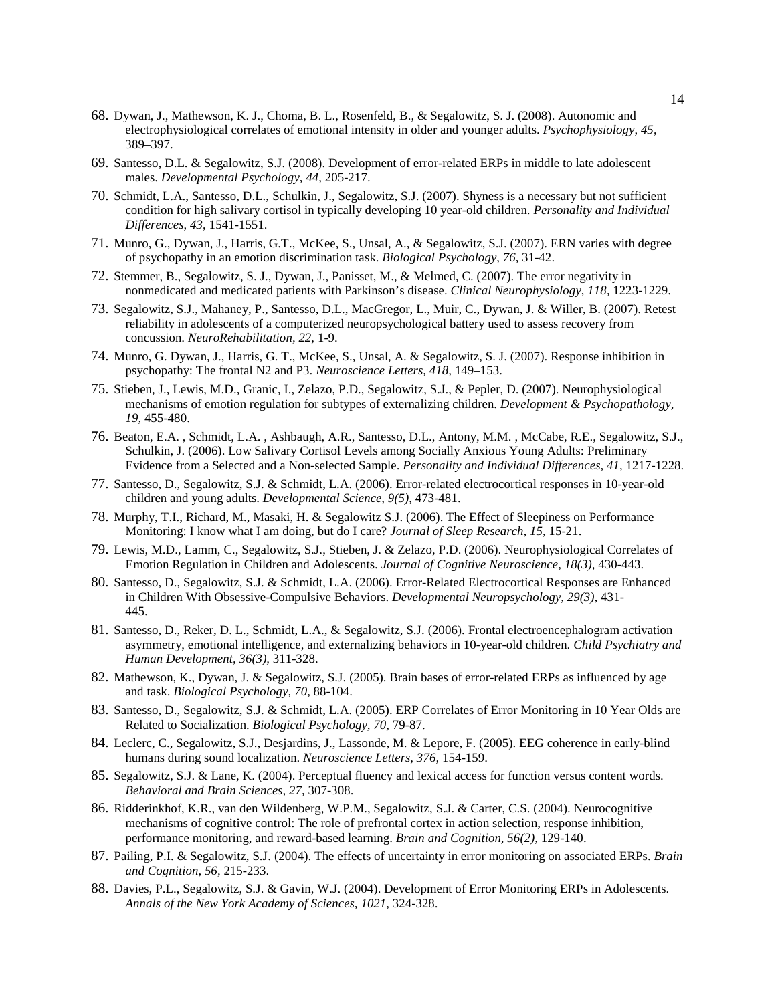- 68. Dywan, J., Mathewson, K. J., Choma, B. L., Rosenfeld, B., & Segalowitz, S. J. (2008). Autonomic and electrophysiological correlates of emotional intensity in older and younger adults. *Psychophysiology*, *45*, 389–397.
- 69. Santesso, D.L. & Segalowitz, S.J. (2008). Development of error-related ERPs in middle to late adolescent males. *Developmental Psychology*, *44,* 205-217.
- 70. Schmidt, L.A., Santesso, D.L., Schulkin, J., Segalowitz, S.J. (2007). Shyness is a necessary but not sufficient condition for high salivary cortisol in typically developing 10 year-old children. *Personality and Individual Differences*, *43*, 1541-1551.
- 71. Munro, G., Dywan, J., Harris, G.T., McKee, S., Unsal, A., & Segalowitz, S.J. (2007). ERN varies with degree of psychopathy in an emotion discrimination task. *Biological Psychology*, *76*, 31-42.
- 72. Stemmer, B., Segalowitz, S. J., Dywan, J., Panisset, M., & Melmed, C. (2007). The error negativity in nonmedicated and medicated patients with Parkinson's disease. *Clinical Neurophysiology*, *118,* 1223-1229.
- 73. Segalowitz, S.J., Mahaney, P., Santesso, D.L., MacGregor, L., Muir, C., Dywan, J. & Willer, B. (2007). Retest reliability in adolescents of a computerized neuropsychological battery used to assess recovery from concussion. *NeuroRehabilitation, 22,* 1-9.
- 74. Munro, G. Dywan, J., Harris, G. T., McKee, S., Unsal, A. & Segalowitz, S. J. (2007). Response inhibition in psychopathy: The frontal N2 and P3. *Neuroscience Letters, 418,* 149–153.
- 75. Stieben, J., Lewis, M.D., Granic, I., Zelazo, P.D., Segalowitz, S.J., & Pepler, D. (2007). Neurophysiological mechanisms of emotion regulation for subtypes of externalizing children. *Development & Psychopathology, 19,* 455-480.
- 76. Beaton, E.A. , Schmidt, L.A. , Ashbaugh, A.R., Santesso, D.L., Antony, M.M. , McCabe, R.E., Segalowitz, S.J., Schulkin, J. (2006). Low Salivary Cortisol Levels among Socially Anxious Young Adults: Preliminary Evidence from a Selected and a Non-selected Sample. *Personality and Individual Differences, 41,* 1217-1228.
- 77. Santesso, D., Segalowitz, S.J. & Schmidt, L.A. (2006). Error-related electrocortical responses in 10-year-old children and young adults. *Developmental Science, 9(5),* 473-481.
- 78. Murphy, T.I., Richard, M., Masaki, H. & Segalowitz S.J. (2006). The Effect of Sleepiness on Performance Monitoring: I know what I am doing, but do I care? *Journal of Sleep Research, 15,* 15-21.
- 79. Lewis, M.D., Lamm, C., Segalowitz, S.J., Stieben, J. & Zelazo, P.D. (2006). Neurophysiological Correlates of Emotion Regulation in Children and Adolescents. *Journal of Cognitive Neuroscience, 18(3),* 430-443.
- 80. Santesso, D., Segalowitz, S.J. & Schmidt, L.A. (2006). Error-Related Electrocortical Responses are Enhanced in Children With Obsessive-Compulsive Behaviors. *Developmental Neuropsychology, 29(3),* 431- 445.
- 81. Santesso, D., Reker, D. L., Schmidt, L.A., & Segalowitz, S.J. (2006). Frontal electroencephalogram activation asymmetry, emotional intelligence, and externalizing behaviors in 10-year-old children. *Child Psychiatry and Human Development, 36(3),* 311-328.
- 82. Mathewson, K., Dywan, J. & Segalowitz, S.J. (2005). Brain bases of error-related ERPs as influenced by age and task. *Biological Psychology, 70,* 88-104.
- 83. Santesso, D., Segalowitz, S.J. & Schmidt, L.A. (2005). ERP Correlates of Error Monitoring in 10 Year Olds are Related to Socialization. *Biological Psychology, 70,* 79-87.
- 84. Leclerc, C., Segalowitz, S.J., Desjardins, J., Lassonde, M. & Lepore, F. (2005). EEG coherence in early-blind humans during sound localization. *Neuroscience Letters, 376,* 154-159.
- 85. Segalowitz, S.J. & Lane, K. (2004). Perceptual fluency and lexical access for function versus content words. *Behavioral and Brain Sciences, 27,* 307-308.
- 86. Ridderinkhof, K.R., van den Wildenberg, W.P.M., Segalowitz, S.J. & Carter, C.S. (2004). Neurocognitive mechanisms of cognitive control: The role of prefrontal cortex in action selection, response inhibition, performance monitoring, and reward-based learning. *Brain and Cognition, 56(2),* 129-140.
- 87. Pailing, P.I. & Segalowitz, S.J. (2004). The effects of uncertainty in error monitoring on associated ERPs. *Brain and Cognition, 56,* 215-233.
- 88. Davies, P.L., Segalowitz, S.J. & Gavin, W.J. (2004). Development of Error Monitoring ERPs in Adolescents. *Annals of the New York Academy of Sciences, 1021,* 324-328.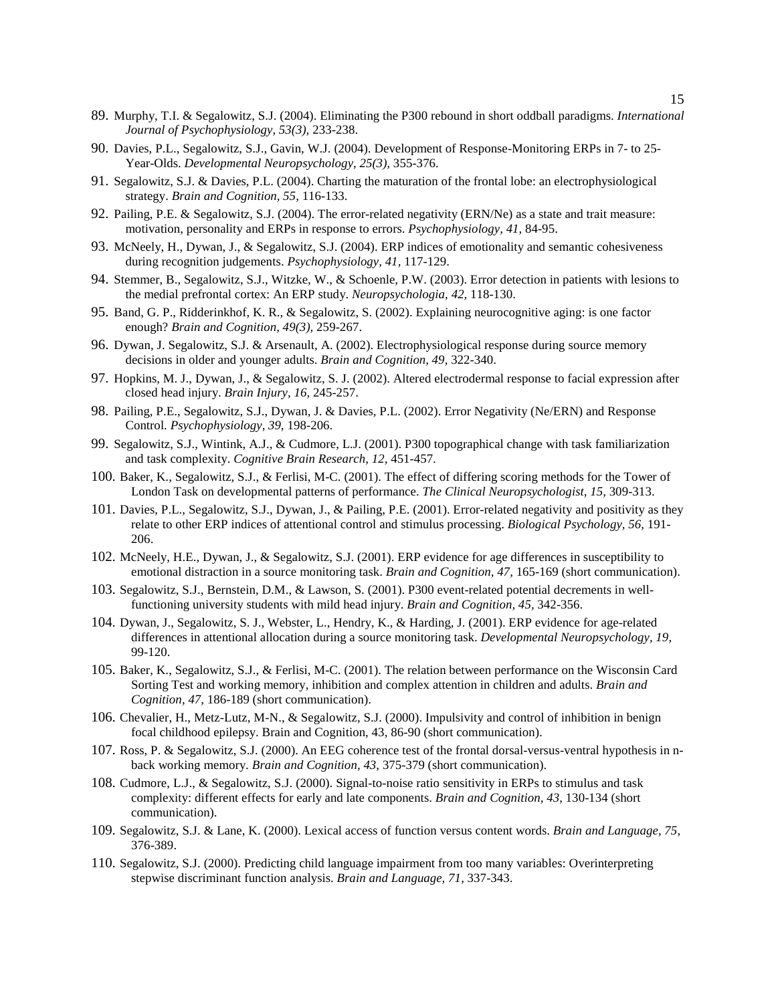- 89. Murphy, T.I. & Segalowitz, S.J. (2004). Eliminating the P300 rebound in short oddball paradigms. *International Journal of Psychophysiology, 53(3),* 233-238.
- 90. Davies, P.L., Segalowitz, S.J., Gavin, W.J. (2004). Development of Response-Monitoring ERPs in 7- to 25- Year-Olds. *Developmental Neuropsychology, 25(3),* 355-376.
- 91. Segalowitz, S.J. & Davies, P.L. (2004). Charting the maturation of the frontal lobe: an electrophysiological strategy. *Brain and Cognition, 55,* 116-133.
- 92. Pailing, P.E. & Segalowitz, S.J. (2004). The error-related negativity (ERN/Ne) as a state and trait measure: motivation, personality and ERPs in response to errors. *Psychophysiology, 41,* 84-95.
- 93. McNeely, H., Dywan, J., & Segalowitz, S.J. (2004). ERP indices of emotionality and semantic cohesiveness during recognition judgements. *Psychophysiology, 41,* 117-129.
- 94. Stemmer, B., Segalowitz, S.J., Witzke, W., & Schoenle, P.W. (2003). Error detection in patients with lesions to the medial prefrontal cortex: An ERP study. *Neuropsychologia, 42,* 118-130.
- 95. Band, G. P., Ridderinkhof, K. R., & Segalowitz, S. (2002). Explaining neurocognitive aging: is one factor enough? *Brain and Cognition, 49(3),* 259-267.
- 96. Dywan, J. Segalowitz, S.J. & Arsenault, A. (2002). Electrophysiological response during source memory decisions in older and younger adults. *Brain and Cognition, 49,* 322-340.
- 97. Hopkins, M. J., Dywan, J., & Segalowitz, S. J. (2002). Altered electrodermal response to facial expression after closed head injury. *Brain Injury, 16,* 245-257.
- 98. Pailing, P.E., Segalowitz, S.J., Dywan, J. & Davies, P.L. (2002). Error Negativity (Ne/ERN) and Response Control. *Psychophysiology, 39,* 198-206.
- 99. Segalowitz, S.J., Wintink, A.J., & Cudmore, L.J. (2001). P300 topographical change with task familiarization and task complexity. *Cognitive Brain Research, 12,* 451-457.
- 100. Baker, K., Segalowitz, S.J., & Ferlisi, M-C. (2001). The effect of differing scoring methods for the Tower of London Task on developmental patterns of performance. *The Clinical Neuropsychologist, 15,* 309-313.
- 101. Davies, P.L., Segalowitz, S.J., Dywan, J., & Pailing, P.E. (2001). Error-related negativity and positivity as they relate to other ERP indices of attentional control and stimulus processing. *Biological Psychology, 56,* 191- 206.
- 102. McNeely, H.E., Dywan, J., & Segalowitz, S.J. (2001). ERP evidence for age differences in susceptibility to emotional distraction in a source monitoring task. *Brain and Cognition, 47,* 165-169 (short communication).
- 103. Segalowitz, S.J., Bernstein, D.M., & Lawson, S. (2001). P300 event-related potential decrements in wellfunctioning university students with mild head injury. *Brain and Cognition, 45,* 342-356.
- 104. Dywan, J., Segalowitz, S. J., Webster, L., Hendry, K., & Harding, J. (2001). ERP evidence for age-related differences in attentional allocation during a source monitoring task. *Developmental Neuropsychology, 19,* 99-120.
- 105. Baker, K., Segalowitz, S.J., & Ferlisi, M-C. (2001). The relation between performance on the Wisconsin Card Sorting Test and working memory, inhibition and complex attention in children and adults. *Brain and Cognition, 47,* 186-189 (short communication).
- 106. Chevalier, H., Metz-Lutz, M-N., & Segalowitz, S.J. (2000). Impulsivity and control of inhibition in benign focal childhood epilepsy. Brain and Cognition, 43, 86-90 (short communication).
- 107. Ross, P. & Segalowitz, S.J. (2000). An EEG coherence test of the frontal dorsal-versus-ventral hypothesis in nback working memory. *Brain and Cognition, 43,* 375-379 (short communication).
- 108. Cudmore, L.J., & Segalowitz, S.J. (2000). Signal-to-noise ratio sensitivity in ERPs to stimulus and task complexity: different effects for early and late components. *Brain and Cognition, 43,* 130-134 (short communication).
- 109. Segalowitz, S.J. & Lane, K. (2000). Lexical access of function versus content words. *Brain and Language, 75,*  376-389.
- 110. Segalowitz, S.J. (2000). Predicting child language impairment from too many variables: Overinterpreting stepwise discriminant function analysis. *Brain and Language, 71,* 337-343.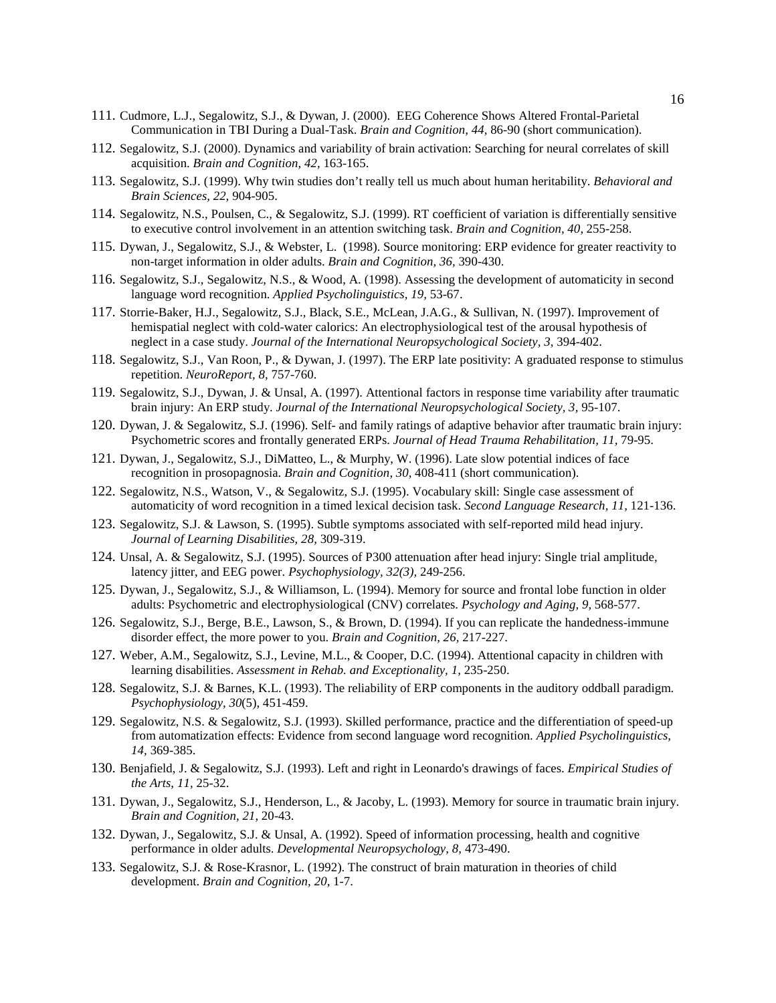- 111. Cudmore, L.J., Segalowitz, S.J., & Dywan, J. (2000). EEG Coherence Shows Altered Frontal-Parietal Communication in TBI During a Dual-Task. *Brain and Cognition, 44,* 86-90 (short communication).
- 112. Segalowitz, S.J. (2000). Dynamics and variability of brain activation: Searching for neural correlates of skill acquisition. *Brain and Cognition, 42,* 163-165.
- 113. Segalowitz, S.J. (1999). Why twin studies don't really tell us much about human heritability. *Behavioral and Brain Sciences, 22,* 904-905.
- 114. Segalowitz, N.S., Poulsen, C., & Segalowitz, S.J. (1999). RT coefficient of variation is differentially sensitive to executive control involvement in an attention switching task. *Brain and Cognition, 40,* 255-258.
- 115. Dywan, J., Segalowitz, S.J., & Webster, L. (1998). Source monitoring: ERP evidence for greater reactivity to non-target information in older adults. *Brain and Cognition, 36,* 390-430.
- 116. Segalowitz, S.J., Segalowitz, N.S., & Wood, A. (1998). Assessing the development of automaticity in second language word recognition. *Applied Psycholinguistics, 19,* 53-67.
- 117. Storrie-Baker, H.J., Segalowitz, S.J., Black, S.E., McLean, J.A.G., & Sullivan, N. (1997). Improvement of hemispatial neglect with cold-water calorics: An electrophysiological test of the arousal hypothesis of neglect in a case study. *Journal of the International Neuropsychological Society, 3,* 394-402.
- 118. Segalowitz, S.J., Van Roon, P., & Dywan, J. (1997). The ERP late positivity: A graduated response to stimulus repetition. *NeuroReport, 8,* 757-760.
- 119. Segalowitz, S.J., Dywan, J. & Unsal, A. (1997). Attentional factors in response time variability after traumatic brain injury: An ERP study. *Journal of the International Neuropsychological Society, 3,* 95-107.
- 120. Dywan, J. & Segalowitz, S.J. (1996). Self- and family ratings of adaptive behavior after traumatic brain injury: Psychometric scores and frontally generated ERPs. *Journal of Head Trauma Rehabilitation, 11,* 79-95.
- 121. Dywan, J., Segalowitz, S.J., DiMatteo, L., & Murphy, W. (1996). Late slow potential indices of face recognition in prosopagnosia. *Brain and Cognition, 30,* 408-411 (short communication).
- 122. Segalowitz, N.S., Watson, V., & Segalowitz, S.J. (1995). Vocabulary skill: Single case assessment of automaticity of word recognition in a timed lexical decision task. *Second Language Research, 11,* 121-136.
- 123. Segalowitz, S.J. & Lawson, S. (1995). Subtle symptoms associated with self-reported mild head injury. *Journal of Learning Disabilities, 28,* 309-319.
- 124. Unsal, A. & Segalowitz, S.J. (1995). Sources of P300 attenuation after head injury: Single trial amplitude, latency jitter, and EEG power. *Psychophysiology, 32(3),* 249-256.
- 125. Dywan, J., Segalowitz, S.J., & Williamson, L. (1994). Memory for source and frontal lobe function in older adults: Psychometric and electrophysiological (CNV) correlates. *Psychology and Aging, 9,* 568-577.
- 126. Segalowitz, S.J., Berge, B.E., Lawson, S., & Brown, D. (1994). If you can replicate the handedness-immune disorder effect, the more power to you. *Brain and Cognition, 26,* 217-227.
- 127. Weber, A.M., Segalowitz, S.J., Levine, M.L., & Cooper, D.C. (1994). Attentional capacity in children with learning disabilities. *Assessment in Rehab. and Exceptionality, 1,* 235-250.
- 128. Segalowitz, S.J. & Barnes, K.L. (1993). The reliability of ERP components in the auditory oddball paradigm. *Psychophysiology, 30*(5)*,* 451-459.
- 129. Segalowitz, N.S. & Segalowitz, S.J. (1993). Skilled performance, practice and the differentiation of speed-up from automatization effects: Evidence from second language word recognition. *Applied Psycholinguistics, 14,* 369-385.
- 130. Benjafield, J. & Segalowitz, S.J. (1993). Left and right in Leonardo's drawings of faces. *Empirical Studies of the Arts, 11,* 25-32.
- 131. Dywan, J., Segalowitz, S.J., Henderson, L., & Jacoby, L. (1993). Memory for source in traumatic brain injury. *Brain and Cognition, 21,* 20-43.
- 132. Dywan, J., Segalowitz, S.J. & Unsal, A. (1992). Speed of information processing, health and cognitive performance in older adults. *Developmental Neuropsychology, 8,* 473-490.
- 133. Segalowitz, S.J. & Rose-Krasnor, L. (1992). The construct of brain maturation in theories of child development. *Brain and Cognition, 20,* 1-7.